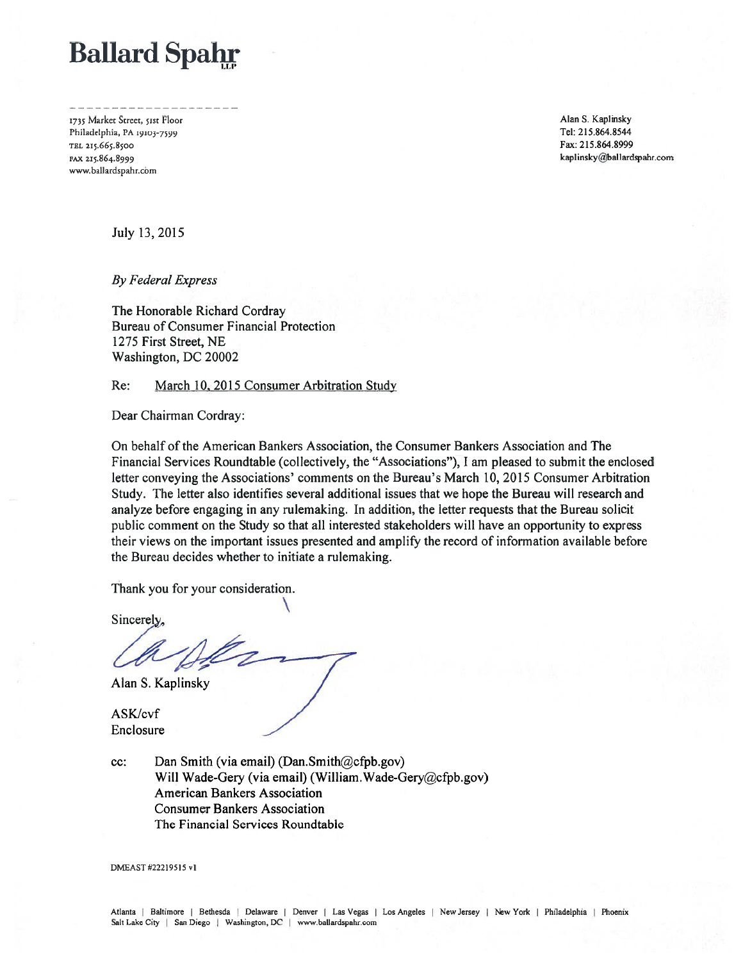# **Ballard Spahr**

1735 Market Street, 51st Floor Philadelphia, PA 19103-7599 TEL 215.665.8500 FAX 215.864.8999 www.ballardspahr.com

Alan S. Kaplinsky Tel: 215.864.8544 Fax: 215.864.8999 kaplinsky@ballardspahr.com

July 13, 2015

**By Federal Express** 

The Honorable Richard Cordray Bureau of Consumer Financial Protection 1275 First Street, NE Washington, DC 20002

#### March 10, 2015 Consumer Arbitration Study Re:

Dear Chairman Cordray:

On behalf of the American Bankers Association, the Consumer Bankers Association and The Financial Services Roundtable (collectively, the "Associations"), I am pleased to submit the enclosed letter conveying the Associations' comments on the Bureau's March 10, 2015 Consumer Arbitration Study. The letter also identifies several additional issues that we hope the Bureau will research and analyze before engaging in any rulemaking. In addition, the letter requests that the Bureau solicit public comment on the Study so that all interested stakeholders will have an opportunity to express their views on the important issues presented and amplify the record of information available before the Bureau decides whether to initiate a rulemaking.

Thank you for your consideration.

Sincerely,

Alan S. Kaplinsky

ASK/cvf Enclosure

Dan Smith (via email) (Dan.Smith@cfpb.gov) cc: Will Wade-Gery (via email) (William. Wade-Gery@cfpb.gov) **American Bankers Association Consumer Bankers Association** The Financial Services Roundtable

DMEAST #22219515 v1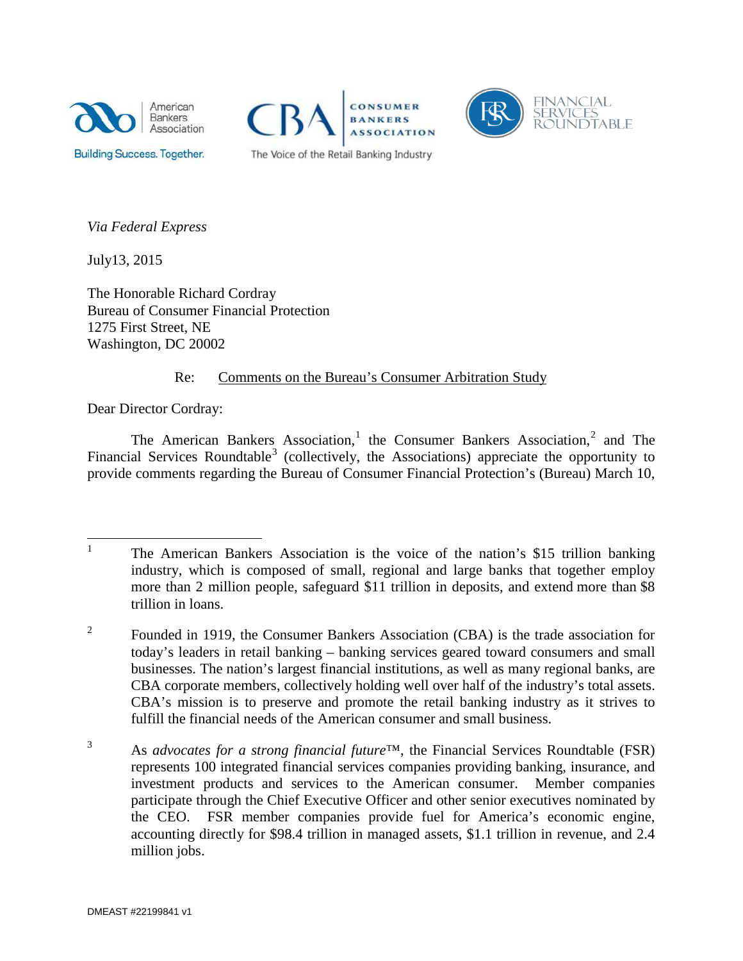





*Via Federal Express*

July13, 2015

The Honorable Richard Cordray Bureau of Consumer Financial Protection 1275 First Street, NE Washington, DC 20002

# Re: Comments on the Bureau's Consumer Arbitration Study

Dear Director Cordray:

The American Bankers Association,<sup>[1](#page-1-0)</sup> the Consumer Bankers Association,<sup>[2](#page-1-1)</sup> and The Financial Services Roundtable<sup>[3](#page-1-2)</sup> (collectively, the Associations) appreciate the opportunity to provide comments regarding the Bureau of Consumer Financial Protection's (Bureau) March 10,

<span id="page-1-0"></span><sup>&</sup>lt;sup>1</sup> The American Bankers Association is the voice of the nation's \$15 trillion banking industry, which is composed of small, regional and large banks that together employ more than 2 million people, safeguard \$11 trillion in deposits, and extend more than \$8 trillion in loans.

<span id="page-1-1"></span><sup>&</sup>lt;sup>2</sup> Founded in 1919, the Consumer Bankers Association (CBA) is the trade association for today's leaders in retail banking – banking services geared toward consumers and small businesses. The nation's largest financial institutions, as well as many regional banks, are CBA corporate members, collectively holding well over half of the industry's total assets. CBA's mission is to preserve and promote the retail banking industry as it strives to fulfill the financial needs of the American consumer and small business.

<span id="page-1-2"></span><sup>3</sup> As *advocates for a strong financial future*™, the Financial Services Roundtable (FSR) represents 100 integrated financial services companies providing banking, insurance, and investment products and services to the American consumer. Member companies participate through the Chief Executive Officer and other senior executives nominated by the CEO. FSR member companies provide fuel for America's economic engine, accounting directly for \$98.4 trillion in managed assets, \$1.1 trillion in revenue, and 2.4 million jobs.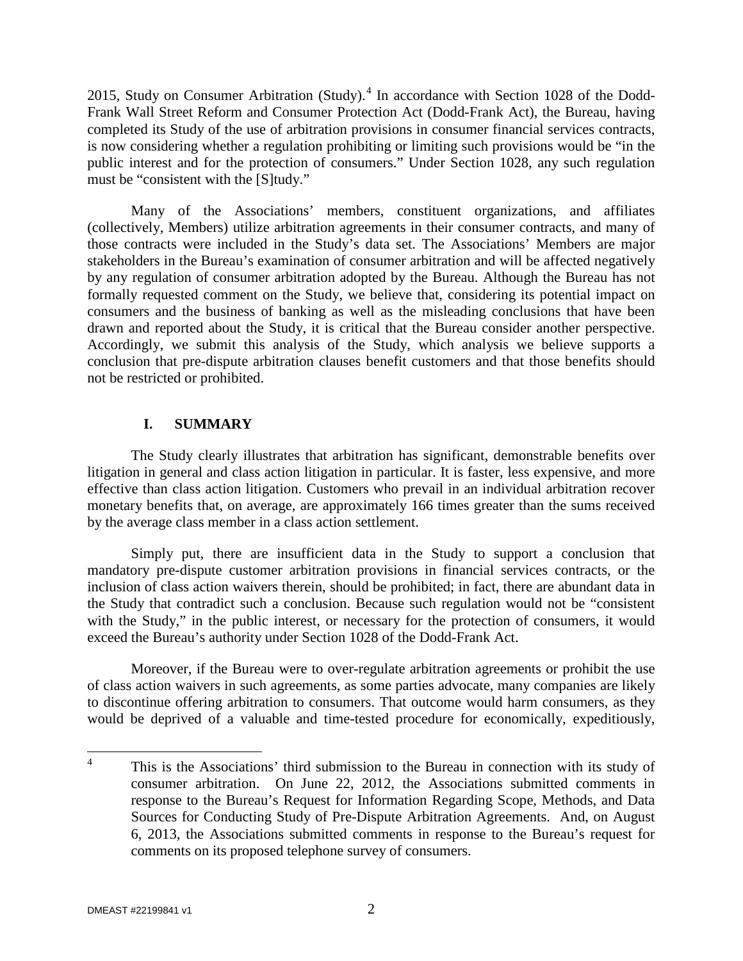2015, Study on Consumer Arbitration (Study). $4$  In accordance with Section 1028 of the Dodd-Frank Wall Street Reform and Consumer Protection Act (Dodd-Frank Act), the Bureau, having completed its Study of the use of arbitration provisions in consumer financial services contracts, is now considering whether a regulation prohibiting or limiting such provisions would be "in the public interest and for the protection of consumers." Under Section 1028, any such regulation must be "consistent with the [S]tudy."

Many of the Associations' members, constituent organizations, and affiliates (collectively, Members) utilize arbitration agreements in their consumer contracts, and many of those contracts were included in the Study's data set. The Associations' Members are major stakeholders in the Bureau's examination of consumer arbitration and will be affected negatively by any regulation of consumer arbitration adopted by the Bureau. Although the Bureau has not formally requested comment on the Study, we believe that, considering its potential impact on consumers and the business of banking as well as the misleading conclusions that have been drawn and reported about the Study, it is critical that the Bureau consider another perspective. Accordingly, we submit this analysis of the Study, which analysis we believe supports a conclusion that pre-dispute arbitration clauses benefit customers and that those benefits should not be restricted or prohibited.

# **I. SUMMARY**

The Study clearly illustrates that arbitration has significant, demonstrable benefits over litigation in general and class action litigation in particular. It is faster, less expensive, and more effective than class action litigation. Customers who prevail in an individual arbitration recover monetary benefits that, on average, are approximately 166 times greater than the sums received by the average class member in a class action settlement.

Simply put, there are insufficient data in the Study to support a conclusion that mandatory pre-dispute customer arbitration provisions in financial services contracts, or the inclusion of class action waivers therein, should be prohibited; in fact, there are abundant data in the Study that contradict such a conclusion. Because such regulation would not be "consistent with the Study," in the public interest, or necessary for the protection of consumers, it would exceed the Bureau's authority under Section 1028 of the Dodd-Frank Act.

Moreover, if the Bureau were to over-regulate arbitration agreements or prohibit the use of class action waivers in such agreements, as some parties advocate, many companies are likely to discontinue offering arbitration to consumers. That outcome would harm consumers, as they would be deprived of a valuable and time-tested procedure for economically, expeditiously,

<span id="page-2-0"></span><sup>&</sup>lt;sup>4</sup> This is the Associations' third submission to the Bureau in connection with its study of consumer arbitration. On June 22, 2012, the Associations submitted comments in response to the Bureau's Request for Information Regarding Scope, Methods, and Data Sources for Conducting Study of Pre-Dispute Arbitration Agreements. And, on August 6, 2013, the Associations submitted comments in response to the Bureau's request for comments on its proposed telephone survey of consumers.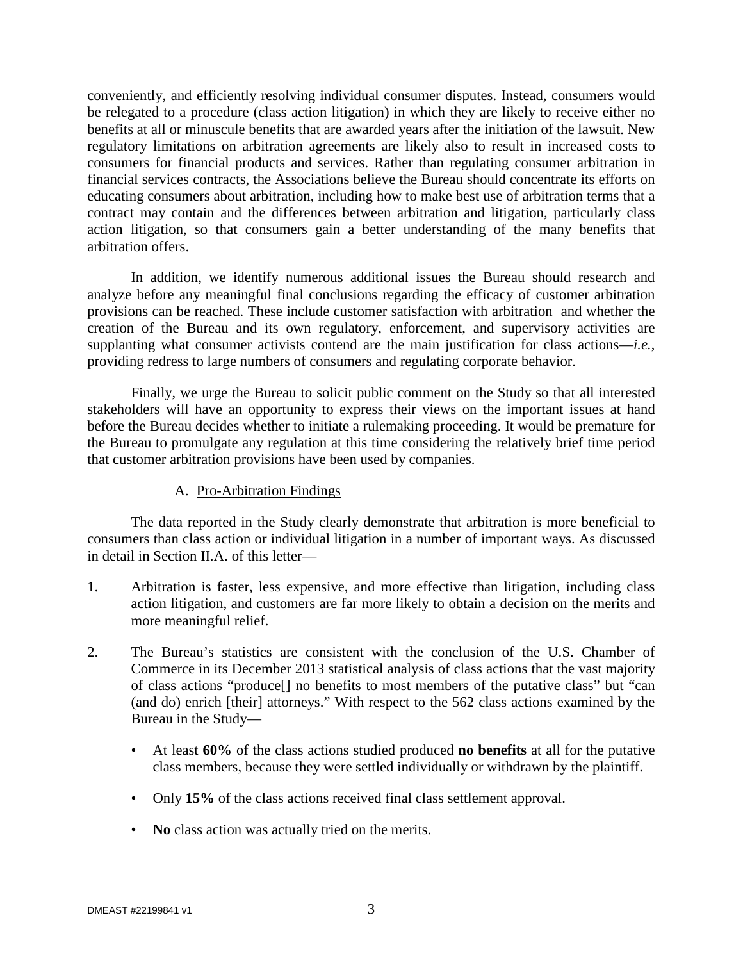conveniently, and efficiently resolving individual consumer disputes. Instead, consumers would be relegated to a procedure (class action litigation) in which they are likely to receive either no benefits at all or minuscule benefits that are awarded years after the initiation of the lawsuit. New regulatory limitations on arbitration agreements are likely also to result in increased costs to consumers for financial products and services. Rather than regulating consumer arbitration in financial services contracts, the Associations believe the Bureau should concentrate its efforts on educating consumers about arbitration, including how to make best use of arbitration terms that a contract may contain and the differences between arbitration and litigation, particularly class action litigation, so that consumers gain a better understanding of the many benefits that arbitration offers.

In addition, we identify numerous additional issues the Bureau should research and analyze before any meaningful final conclusions regarding the efficacy of customer arbitration provisions can be reached. These include customer satisfaction with arbitration and whether the creation of the Bureau and its own regulatory, enforcement, and supervisory activities are supplanting what consumer activists contend are the main justification for class actions—*i.e.*, providing redress to large numbers of consumers and regulating corporate behavior.

Finally, we urge the Bureau to solicit public comment on the Study so that all interested stakeholders will have an opportunity to express their views on the important issues at hand before the Bureau decides whether to initiate a rulemaking proceeding. It would be premature for the Bureau to promulgate any regulation at this time considering the relatively brief time period that customer arbitration provisions have been used by companies.

#### A. Pro-Arbitration Findings

The data reported in the Study clearly demonstrate that arbitration is more beneficial to consumers than class action or individual litigation in a number of important ways. As discussed in detail in Section II.A. of this letter—

- 1. Arbitration is faster, less expensive, and more effective than litigation, including class action litigation, and customers are far more likely to obtain a decision on the merits and more meaningful relief.
- 2. The Bureau's statistics are consistent with the conclusion of the U.S. Chamber of Commerce in its December 2013 statistical analysis of class actions that the vast majority of class actions "produce[] no benefits to most members of the putative class" but "can (and do) enrich [their] attorneys." With respect to the 562 class actions examined by the Bureau in the Study—
	- At least **60%** of the class actions studied produced **no benefits** at all for the putative class members, because they were settled individually or withdrawn by the plaintiff.
	- Only **15%** of the class actions received final class settlement approval.
	- **No** class action was actually tried on the merits.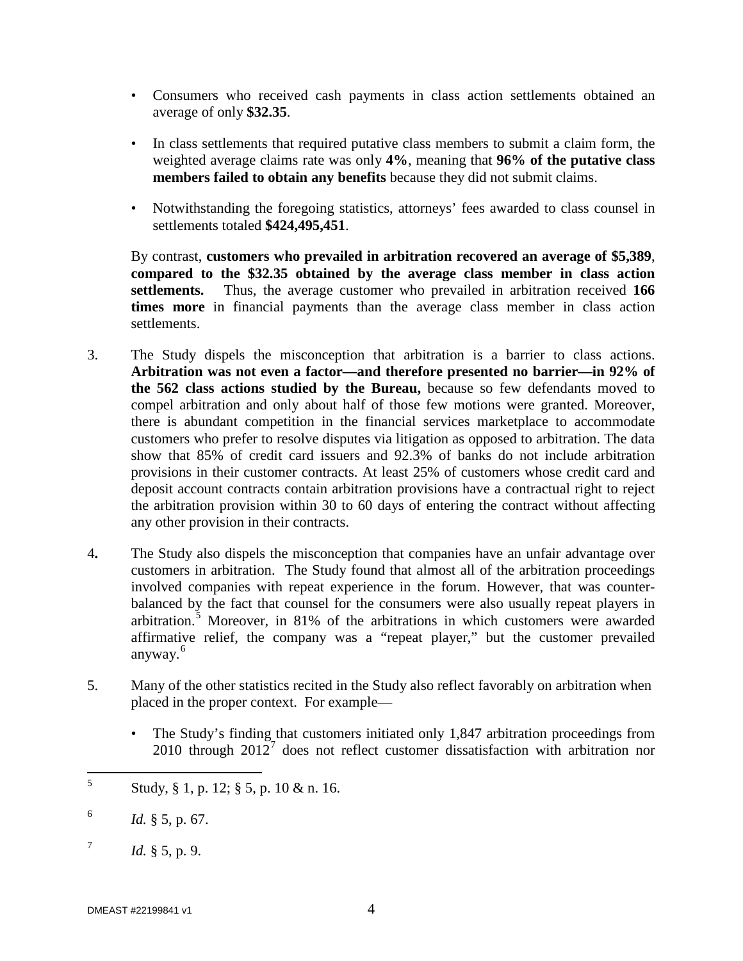- Consumers who received cash payments in class action settlements obtained an average of only **\$32.35**.
- In class settlements that required putative class members to submit a claim form, the weighted average claims rate was only **4%**, meaning that **96% of the putative class members failed to obtain any benefits** because they did not submit claims.
- Notwithstanding the foregoing statistics, attorneys' fees awarded to class counsel in settlements totaled **\$424,495,451**.

By contrast, **customers who prevailed in arbitration recovered an average of \$5,389**, **compared to the \$32.35 obtained by the average class member in class action settlements.** Thus, the average customer who prevailed in arbitration received **166 times more** in financial payments than the average class member in class action settlements.

- 3. The Study dispels the misconception that arbitration is a barrier to class actions. **Arbitration was not even a factor—and therefore presented no barrier—in 92% of the 562 class actions studied by the Bureau,** because so few defendants moved to compel arbitration and only about half of those few motions were granted. Moreover, there is abundant competition in the financial services marketplace to accommodate customers who prefer to resolve disputes via litigation as opposed to arbitration. The data show that 85% of credit card issuers and 92.3% of banks do not include arbitration provisions in their customer contracts. At least 25% of customers whose credit card and deposit account contracts contain arbitration provisions have a contractual right to reject the arbitration provision within 30 to 60 days of entering the contract without affecting any other provision in their contracts.
- 4**.** The Study also dispels the misconception that companies have an unfair advantage over customers in arbitration. The Study found that almost all of the arbitration proceedings involved companies with repeat experience in the forum. However, that was counterbalanced by the fact that counsel for the consumers were also usually repeat players in arbitration.<sup>[5](#page-4-0)</sup> Moreover, in 81% of the arbitrations in which customers were awarded affirmative relief, the company was a "repeat player," but the customer prevailed anyway.<sup>[6](#page-4-1)</sup>
- 5. Many of the other statistics recited in the Study also reflect favorably on arbitration when placed in the proper context. For example—
	- The Study's finding that customers initiated only 1,847 arbitration proceedings from 2010 through  $2012<sup>7</sup>$  $2012<sup>7</sup>$  $2012<sup>7</sup>$  does not reflect customer dissatisfaction with arbitration nor

<span id="page-4-0"></span> $5$  Study, § 1, p. 12; § 5, p. 10 & n. 16.

<span id="page-4-1"></span> $1d. \S 5, p. 67.$ 

<span id="page-4-2"></span> $^{7}$  *Id.* § 5, p. 9.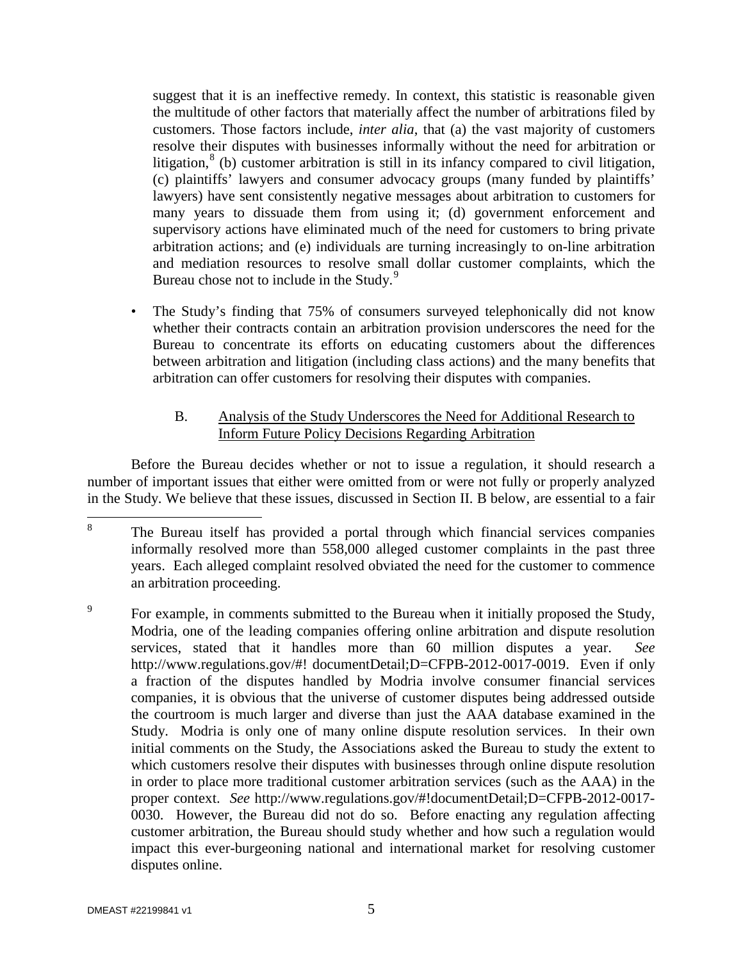suggest that it is an ineffective remedy. In context, this statistic is reasonable given the multitude of other factors that materially affect the number of arbitrations filed by customers. Those factors include, *inter alia*, that (a) the vast majority of customers resolve their disputes with businesses informally without the need for arbitration or litigation, ${}^{8}$  ${}^{8}$  ${}^{8}$  (b) customer arbitration is still in its infancy compared to civil litigation, (c) plaintiffs' lawyers and consumer advocacy groups (many funded by plaintiffs' lawyers) have sent consistently negative messages about arbitration to customers for many years to dissuade them from using it; (d) government enforcement and supervisory actions have eliminated much of the need for customers to bring private arbitration actions; and (e) individuals are turning increasingly to on-line arbitration and mediation resources to resolve small dollar customer complaints, which the Bureau chose not to include in the Study.<sup>[9](#page-5-1)</sup>

• The Study's finding that 75% of consumers surveyed telephonically did not know whether their contracts contain an arbitration provision underscores the need for the Bureau to concentrate its efforts on educating customers about the differences between arbitration and litigation (including class actions) and the many benefits that arbitration can offer customers for resolving their disputes with companies.

# B. Analysis of the Study Underscores the Need for Additional Research to Inform Future Policy Decisions Regarding Arbitration

Before the Bureau decides whether or not to issue a regulation, it should research a number of important issues that either were omitted from or were not fully or properly analyzed in the Study. We believe that these issues, discussed in Section II. B below, are essential to a fair

<span id="page-5-0"></span><sup>&</sup>lt;sup>8</sup> The Bureau itself has provided a portal through which financial services companies informally resolved more than 558,000 alleged customer complaints in the past three years. Each alleged complaint resolved obviated the need for the customer to commence an arbitration proceeding.

<span id="page-5-1"></span><sup>&</sup>lt;sup>9</sup> For example, in comments submitted to the Bureau when it initially proposed the Study, Modria, one of the leading companies offering online arbitration and dispute resolution services, stated that it handles more than 60 million disputes a year. *See* http://www.regulations.gov/#! documentDetail;D=CFPB-2012-0017-0019. Even if only a fraction of the disputes handled by Modria involve consumer financial services companies, it is obvious that the universe of customer disputes being addressed outside the courtroom is much larger and diverse than just the AAA database examined in the Study. Modria is only one of many online dispute resolution services. In their own initial comments on the Study, the Associations asked the Bureau to study the extent to which customers resolve their disputes with businesses through online dispute resolution in order to place more traditional customer arbitration services (such as the AAA) in the proper context. *See* http://www.regulations.gov/#!documentDetail;D=CFPB-2012-0017- 0030. However, the Bureau did not do so. Before enacting any regulation affecting customer arbitration, the Bureau should study whether and how such a regulation would impact this ever-burgeoning national and international market for resolving customer disputes online.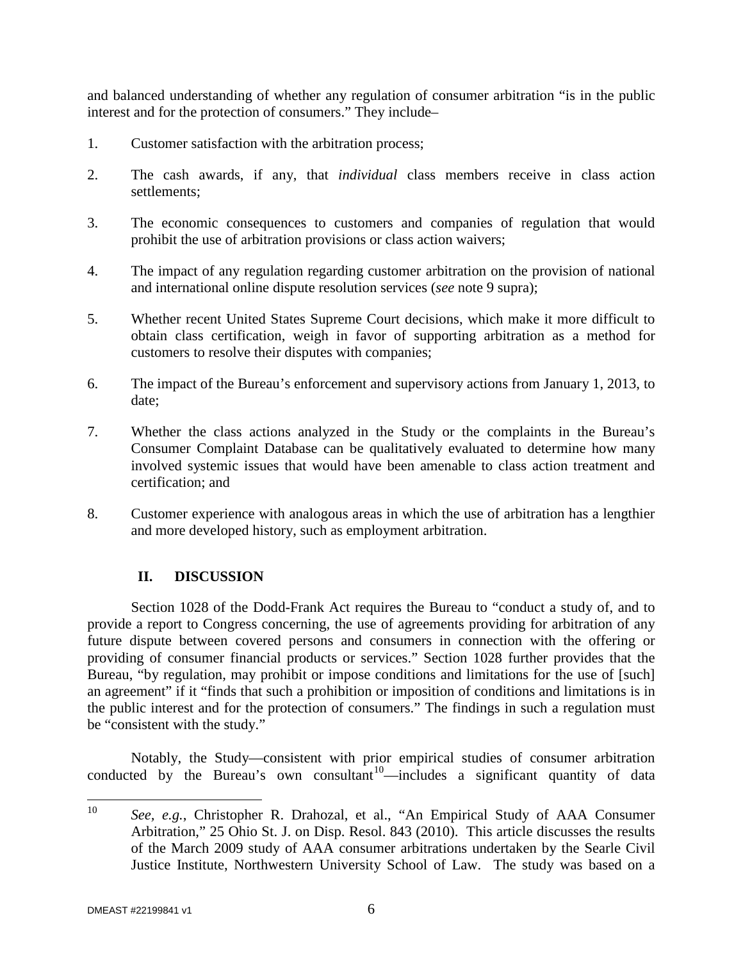and balanced understanding of whether any regulation of consumer arbitration "is in the public interest and for the protection of consumers." They include–

- 1. Customer satisfaction with the arbitration process;
- 2. The cash awards, if any, that *individual* class members receive in class action settlements;
- 3. The economic consequences to customers and companies of regulation that would prohibit the use of arbitration provisions or class action waivers;
- 4. The impact of any regulation regarding customer arbitration on the provision of national and international online dispute resolution services (*see* note 9 supra);
- 5. Whether recent United States Supreme Court decisions, which make it more difficult to obtain class certification, weigh in favor of supporting arbitration as a method for customers to resolve their disputes with companies;
- 6. The impact of the Bureau's enforcement and supervisory actions from January 1, 2013, to date;
- 7. Whether the class actions analyzed in the Study or the complaints in the Bureau's Consumer Complaint Database can be qualitatively evaluated to determine how many involved systemic issues that would have been amenable to class action treatment and certification; and
- 8. Customer experience with analogous areas in which the use of arbitration has a lengthier and more developed history, such as employment arbitration.

# **II. DISCUSSION**

Section 1028 of the Dodd-Frank Act requires the Bureau to "conduct a study of, and to provide a report to Congress concerning, the use of agreements providing for arbitration of any future dispute between covered persons and consumers in connection with the offering or providing of consumer financial products or services." Section 1028 further provides that the Bureau, "by regulation, may prohibit or impose conditions and limitations for the use of [such] an agreement" if it "finds that such a prohibition or imposition of conditions and limitations is in the public interest and for the protection of consumers." The findings in such a regulation must be "consistent with the study."

Notably, the Study—consistent with prior empirical studies of consumer arbitration conducted by the Bureau's own consultant<sup>[10](#page-6-0)</sup>—includes a significant quantity of data

<span id="page-6-0"></span> <sup>10</sup> *See, e.g.*, Christopher R. Drahozal, et al., "An Empirical Study of AAA Consumer Arbitration," 25 Ohio St. J. on Disp. Resol. 843 (2010). This article discusses the results of the March 2009 study of AAA consumer arbitrations undertaken by the Searle Civil Justice Institute, Northwestern University School of Law. The study was based on a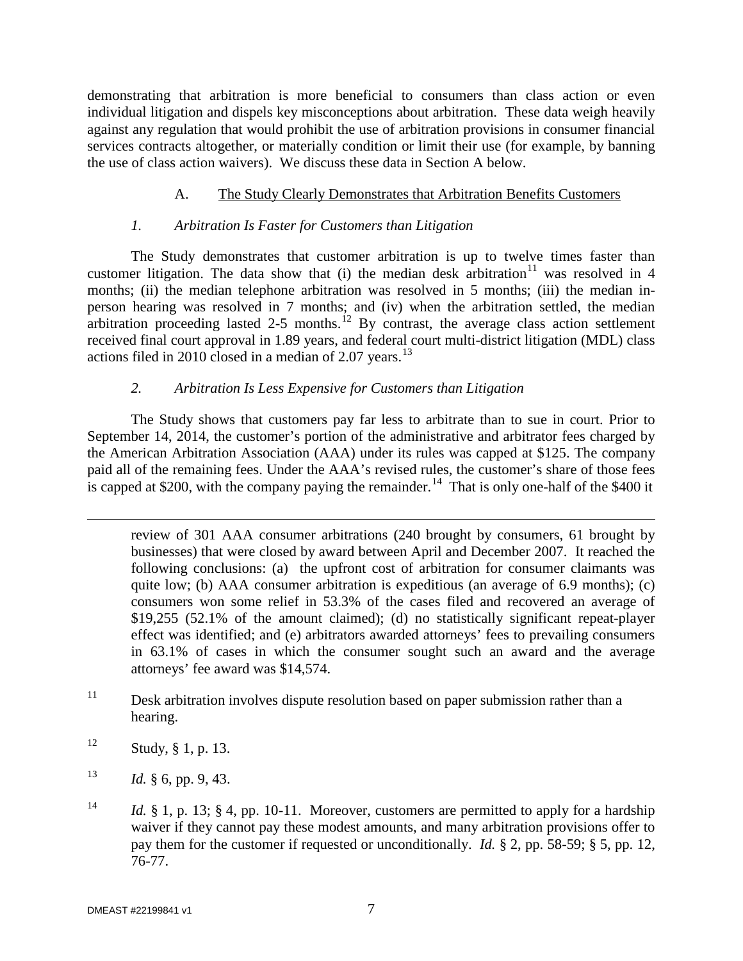demonstrating that arbitration is more beneficial to consumers than class action or even individual litigation and dispels key misconceptions about arbitration. These data weigh heavily against any regulation that would prohibit the use of arbitration provisions in consumer financial services contracts altogether, or materially condition or limit their use (for example, by banning the use of class action waivers). We discuss these data in Section A below.

# A. The Study Clearly Demonstrates that Arbitration Benefits Customers

# *1. Arbitration Is Faster for Customers than Litigation*

The Study demonstrates that customer arbitration is up to twelve times faster than customer litigation. The data show that (i) the median desk arbitration<sup>[11](#page-7-0)</sup> was resolved in 4 months; (ii) the median telephone arbitration was resolved in 5 months; (iii) the median inperson hearing was resolved in 7 months; and (iv) when the arbitration settled, the median arbitration proceeding lasted 2-5 months.<sup>[12](#page-7-1)</sup> By contrast, the average class action settlement received final court approval in 1.89 years, and federal court multi-district litigation (MDL) class actions filed in 2010 closed in a median of 2.07 years.<sup>[13](#page-7-2)</sup>

# *2. Arbitration Is Less Expensive for Customers than Litigation*

The Study shows that customers pay far less to arbitrate than to sue in court. Prior to September 14, 2014, the customer's portion of the administrative and arbitrator fees charged by the American Arbitration Association (AAA) under its rules was capped at \$125. The company paid all of the remaining fees. Under the AAA's revised rules, the customer's share of those fees is capped at \$200, with the company paying the remainder.<sup>[14](#page-7-3)</sup> That is only one-half of the \$400 it

review of 301 AAA consumer arbitrations (240 brought by consumers, 61 brought by businesses) that were closed by award between April and December 2007. It reached the following conclusions: (a) the upfront cost of arbitration for consumer claimants was quite low; (b)  $AAA$  consumer arbitration is expeditious (an average of 6.9 months); (c) consumers won some relief in 53.3% of the cases filed and recovered an average of \$19,255 (52.1% of the amount claimed); (d) no statistically significant repeat-player effect was identified; and (e) arbitrators awarded attorneys' fees to prevailing consumers in 63.1% of cases in which the consumer sought such an award and the average attorneys' fee award was \$14,574.

- <span id="page-7-0"></span> $11$  Desk arbitration involves dispute resolution based on paper submission rather than a hearing.
- <span id="page-7-1"></span> $12$  Study, § 1, p. 13.

 $\overline{a}$ 

- <span id="page-7-2"></span> $13$  *Id.* § 6, pp. 9, 43.
- <span id="page-7-3"></span><sup>14</sup> *Id.* § 1, p. 13; § 4, pp. 10-11. Moreover, customers are permitted to apply for a hardship waiver if they cannot pay these modest amounts, and many arbitration provisions offer to pay them for the customer if requested or unconditionally. *Id.* § 2, pp. 58-59; § 5, pp. 12, 76-77.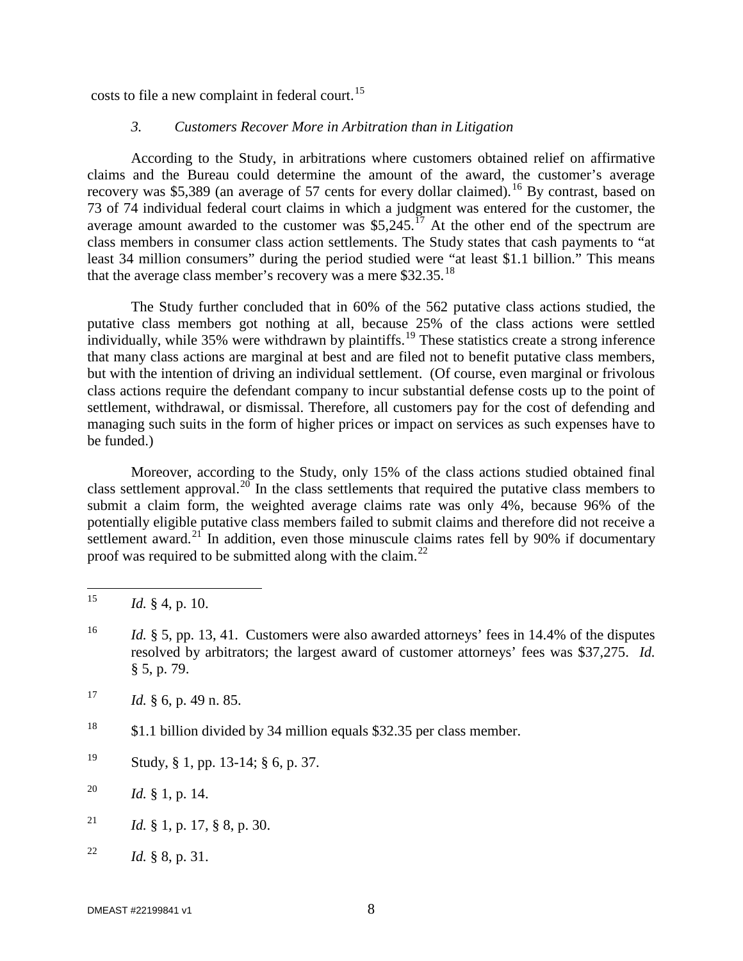costs to file a new complaint in federal court.<sup>[15](#page-8-0)</sup>

#### *3. Customers Recover More in Arbitration than in Litigation*

According to the Study, in arbitrations where customers obtained relief on affirmative claims and the Bureau could determine the amount of the award, the customer's average recovery was \$5,389 (an average of 57 cents for every dollar claimed).<sup>[16](#page-8-1)</sup> By contrast, based on 73 of 74 individual federal court claims in which a judgment was entered for the customer, the average amount awarded to the customer was  $$5,245$ .<sup>[17](#page-8-2)</sup> At the other end of the spectrum are class members in consumer class action settlements. The Study states that cash payments to "at least 34 million consumers" during the period studied were "at least \$1.1 billion." This means that the average class member's recovery was a mere  $$32.35$ .<sup>[18](#page-8-3)</sup>

The Study further concluded that in 60% of the 562 putative class actions studied, the putative class members got nothing at all, because 25% of the class actions were settled individually, while 35% were withdrawn by plaintiffs.<sup>[19](#page-8-4)</sup> These statistics create a strong inference that many class actions are marginal at best and are filed not to benefit putative class members, but with the intention of driving an individual settlement. (Of course, even marginal or frivolous class actions require the defendant company to incur substantial defense costs up to the point of settlement, withdrawal, or dismissal. Therefore, all customers pay for the cost of defending and managing such suits in the form of higher prices or impact on services as such expenses have to be funded.)

Moreover, according to the Study, only 15% of the class actions studied obtained final class settlement approval.<sup>[20](#page-8-5)</sup> In the class settlements that required the putative class members to submit a claim form, the weighted average claims rate was only 4%, because 96% of the potentially eligible putative class members failed to submit claims and therefore did not receive a settlement award.<sup>[21](#page-8-6)</sup> In addition, even those minuscule claims rates fell by 90% if documentary proof was required to be submitted along with the claim.<sup>[22](#page-8-7)</sup>

<span id="page-8-4"></span><sup>19</sup> Study, § 1, pp. 13-14; § 6, p. 37.

- <span id="page-8-6"></span><sup>21</sup> *Id.* § 1, p. 17, § 8, p. 30.
- <span id="page-8-7"></span><sup>22</sup> *Id.* § 8, p. 31.

<span id="page-8-0"></span><sup>&</sup>lt;sup>15</sup> *Id.* § 4, p. 10.

<span id="page-8-1"></span><sup>&</sup>lt;sup>16</sup> *Id.* § 5, pp. 13, 41. Customers were also awarded attorneys' fees in 14.4% of the disputes resolved by arbitrators; the largest award of customer attorneys' fees was \$37,275. *Id.* § 5, p. 79.

<span id="page-8-2"></span> $17$  *Id.* § 6, p. 49 n. 85.

<span id="page-8-3"></span><sup>18</sup> \$1.1 billion divided by 34 million equals \$32.35 per class member.

<span id="page-8-5"></span><sup>20</sup> *Id.* § 1, p. 14.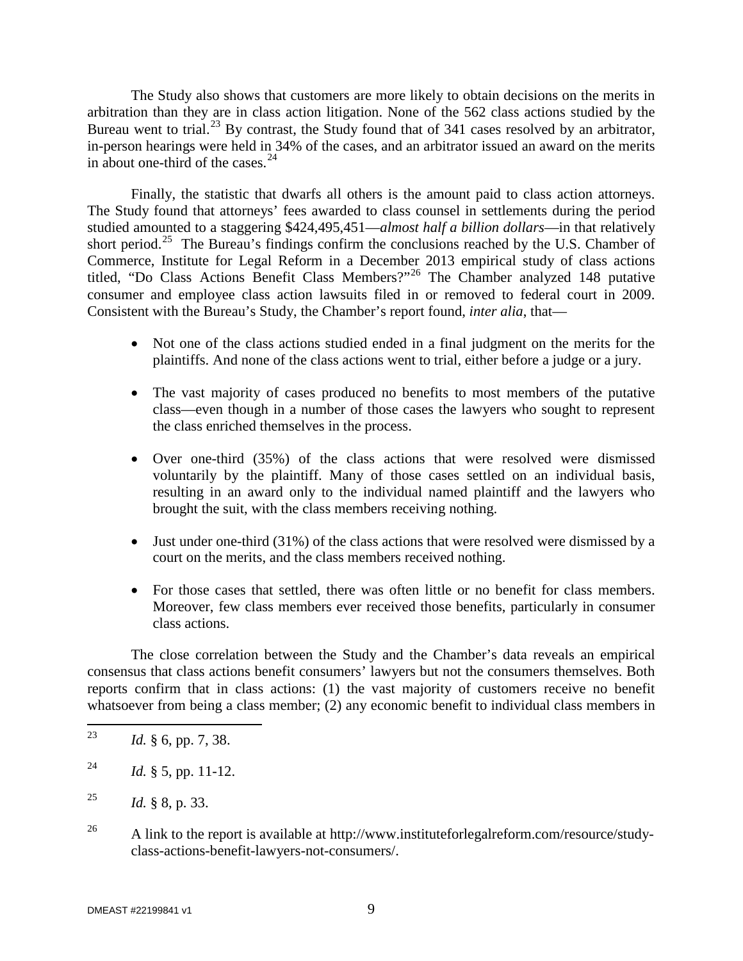The Study also shows that customers are more likely to obtain decisions on the merits in arbitration than they are in class action litigation. None of the 562 class actions studied by the Bureau went to trial.<sup>[23](#page-9-0)</sup> By contrast, the Study found that of 341 cases resolved by an arbitrator, in-person hearings were held in 34% of the cases, and an arbitrator issued an award on the merits in about one-third of the cases.<sup>[24](#page-9-1)</sup>

Finally, the statistic that dwarfs all others is the amount paid to class action attorneys. The Study found that attorneys' fees awarded to class counsel in settlements during the period studied amounted to a staggering \$424,495,451—*almost half a billion dollars*—in that relatively short period.<sup>[25](#page-9-2)</sup> The Bureau's findings confirm the conclusions reached by the U.S. Chamber of Commerce, Institute for Legal Reform in a December 2013 empirical study of class actions titled, "Do Class Actions Benefit Class Members?"[26](#page-9-3) The Chamber analyzed 148 putative consumer and employee class action lawsuits filed in or removed to federal court in 2009. Consistent with the Bureau's Study, the Chamber's report found, *inter alia*, that—

- Not one of the class actions studied ended in a final judgment on the merits for the plaintiffs. And none of the class actions went to trial, either before a judge or a jury.
- The vast majority of cases produced no benefits to most members of the putative class—even though in a number of those cases the lawyers who sought to represent the class enriched themselves in the process.
- Over one-third (35%) of the class actions that were resolved were dismissed voluntarily by the plaintiff. Many of those cases settled on an individual basis, resulting in an award only to the individual named plaintiff and the lawyers who brought the suit, with the class members receiving nothing.
- Just under one-third (31%) of the class actions that were resolved were dismissed by a court on the merits, and the class members received nothing.
- For those cases that settled, there was often little or no benefit for class members. Moreover, few class members ever received those benefits, particularly in consumer class actions.

The close correlation between the Study and the Chamber's data reveals an empirical consensus that class actions benefit consumers' lawyers but not the consumers themselves. Both reports confirm that in class actions: (1) the vast majority of customers receive no benefit whatsoever from being a class member; (2) any economic benefit to individual class members in

<span id="page-9-3"></span><sup>26</sup> A link to the report is available at http://www.instituteforlegalreform.com/resource/studyclass-actions-benefit-lawyers-not-consumers/.

<span id="page-9-0"></span> <sup>23</sup> *Id.* § 6, pp. 7, 38.

<span id="page-9-1"></span><sup>&</sup>lt;sup>24</sup> *Id.* § 5, pp. 11-12.

<span id="page-9-2"></span><sup>25</sup> *Id.* § 8, p. 33.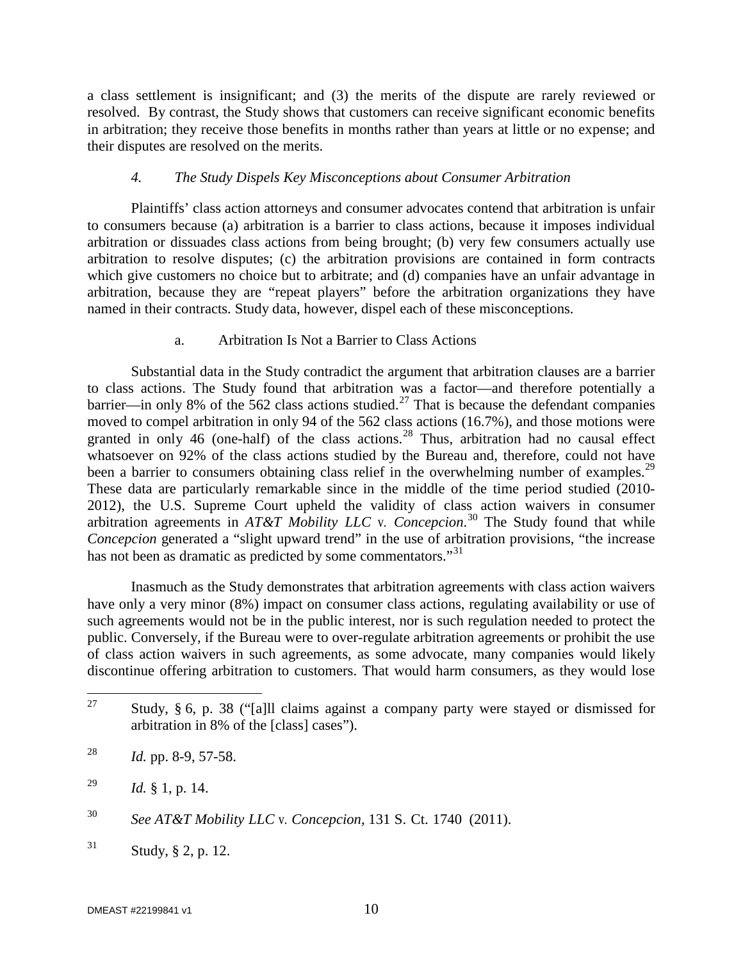a class settlement is insignificant; and (3) the merits of the dispute are rarely reviewed or resolved. By contrast, the Study shows that customers can receive significant economic benefits in arbitration; they receive those benefits in months rather than years at little or no expense; and their disputes are resolved on the merits.

# *4. The Study Dispels Key Misconceptions about Consumer Arbitration*

Plaintiffs' class action attorneys and consumer advocates contend that arbitration is unfair to consumers because (a) arbitration is a barrier to class actions, because it imposes individual arbitration or dissuades class actions from being brought; (b) very few consumers actually use arbitration to resolve disputes; (c) the arbitration provisions are contained in form contracts which give customers no choice but to arbitrate; and (d) companies have an unfair advantage in arbitration, because they are "repeat players" before the arbitration organizations they have named in their contracts. Study data, however, dispel each of these misconceptions.

# a. Arbitration Is Not a Barrier to Class Actions

Substantial data in the Study contradict the argument that arbitration clauses are a barrier to class actions. The Study found that arbitration was a factor—and therefore potentially a barrier—in only 8% of the 562 class actions studied.<sup>[27](#page-10-0)</sup> That is because the defendant companies moved to compel arbitration in only 94 of the 562 class actions (16.7%), and those motions were granted in only 46 (one-half) of the class actions.<sup>[28](#page-10-1)</sup> Thus, arbitration had no causal effect whatsoever on 92% of the class actions studied by the Bureau and, therefore, could not have been a barrier to consumers obtaining class relief in the overwhelming number of examples.<sup>[29](#page-10-2)</sup> These data are particularly remarkable since in the middle of the time period studied (2010- 2012), the U.S. Supreme Court upheld the validity of class action waivers in consumer arbitration agreements in *AT&T Mobility LLC* v. *Concepcion*. [30](#page-10-3) The Study found that while *Concepcion* generated a "slight upward trend" in the use of arbitration provisions, "the increase has not been as dramatic as predicted by some commentators."<sup>31</sup>

Inasmuch as the Study demonstrates that arbitration agreements with class action waivers have only a very minor (8%) impact on consumer class actions, regulating availability or use of such agreements would not be in the public interest, nor is such regulation needed to protect the public. Conversely, if the Bureau were to over-regulate arbitration agreements or prohibit the use of class action waivers in such agreements, as some advocate, many companies would likely discontinue offering arbitration to customers. That would harm consumers, as they would lose

<span id="page-10-0"></span><sup>&</sup>lt;sup>27</sup> Study, § 6, p. 38 ("[a]ll claims against a company party were stayed or dismissed for arbitration in 8% of the [class] cases").

<span id="page-10-1"></span><sup>28</sup> *Id.* pp. 8-9, 57-58.

<span id="page-10-2"></span><sup>29</sup> *Id.* § 1, p. 14.

<span id="page-10-3"></span><sup>30</sup> *See AT&T Mobility LLC* v. *Concepcion,* 131 S. Ct. 1740 (2011).

<span id="page-10-4"></span> $31$  Study, § 2, p. 12.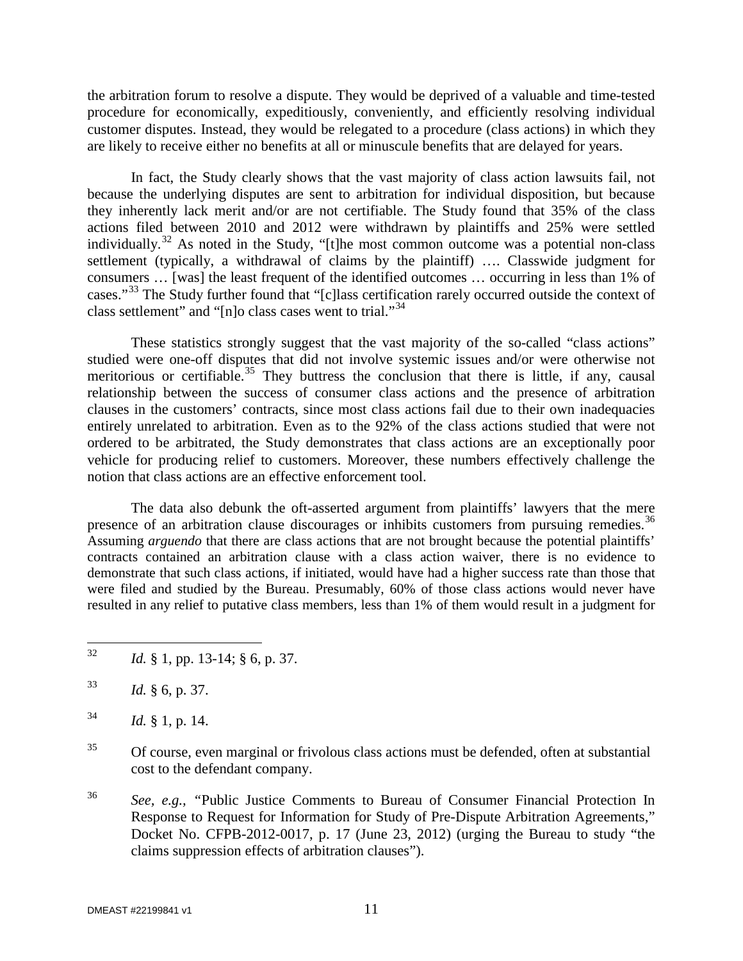the arbitration forum to resolve a dispute. They would be deprived of a valuable and time-tested procedure for economically, expeditiously, conveniently, and efficiently resolving individual customer disputes. Instead, they would be relegated to a procedure (class actions) in which they are likely to receive either no benefits at all or minuscule benefits that are delayed for years.

In fact, the Study clearly shows that the vast majority of class action lawsuits fail, not because the underlying disputes are sent to arbitration for individual disposition, but because they inherently lack merit and/or are not certifiable. The Study found that 35% of the class actions filed between 2010 and 2012 were withdrawn by plaintiffs and 25% were settled individually.<sup>[32](#page-11-0)</sup> As noted in the Study, "[t]he most common outcome was a potential non-class settlement (typically, a withdrawal of claims by the plaintiff) …. Classwide judgment for consumers … [was] the least frequent of the identified outcomes … occurring in less than 1% of cases."[33](#page-11-1) The Study further found that "[c]lass certification rarely occurred outside the context of class settlement" and "[n]o class cases went to trial."[34](#page-11-2)

These statistics strongly suggest that the vast majority of the so-called "class actions" studied were one-off disputes that did not involve systemic issues and/or were otherwise not meritorious or certifiable.<sup>[35](#page-11-3)</sup> They buttress the conclusion that there is little, if any, causal relationship between the success of consumer class actions and the presence of arbitration clauses in the customers' contracts, since most class actions fail due to their own inadequacies entirely unrelated to arbitration. Even as to the 92% of the class actions studied that were not ordered to be arbitrated, the Study demonstrates that class actions are an exceptionally poor vehicle for producing relief to customers. Moreover, these numbers effectively challenge the notion that class actions are an effective enforcement tool.

The data also debunk the oft-asserted argument from plaintiffs' lawyers that the mere presence of an arbitration clause discourages or inhibits customers from pursuing remedies.<sup>[36](#page-11-4)</sup> Assuming *arguendo* that there are class actions that are not brought because the potential plaintiffs' contracts contained an arbitration clause with a class action waiver, there is no evidence to demonstrate that such class actions, if initiated, would have had a higher success rate than those that were filed and studied by the Bureau. Presumably, 60% of those class actions would never have resulted in any relief to putative class members, less than 1% of them would result in a judgment for

<span id="page-11-0"></span>32 *Id.* § 1, pp. 13-14; § 6, p. 37.

<span id="page-11-1"></span><sup>33</sup> *Id.* § 6, p. 37.

- <span id="page-11-3"></span><sup>35</sup> Of course, even marginal or frivolous class actions must be defended, often at substantial cost to the defendant company.
- <span id="page-11-4"></span><sup>36</sup> *See, e.g., "*Public Justice Comments to Bureau of Consumer Financial Protection In Response to Request for Information for Study of Pre-Dispute Arbitration Agreements," Docket No. CFPB-2012-0017, p. 17 (June 23, 2012) (urging the Bureau to study "the claims suppression effects of arbitration clauses").

<span id="page-11-2"></span> $^{34}$  *Id.* § 1, p. 14.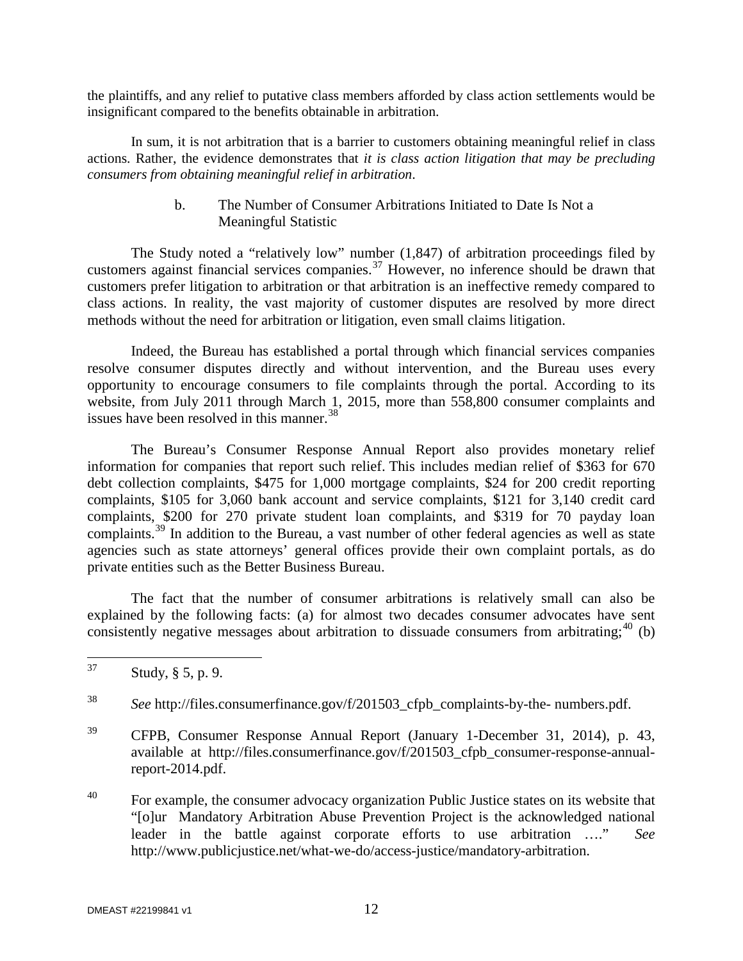the plaintiffs, and any relief to putative class members afforded by class action settlements would be insignificant compared to the benefits obtainable in arbitration.

In sum, it is not arbitration that is a barrier to customers obtaining meaningful relief in class actions. Rather, the evidence demonstrates that *it is class action litigation that may be precluding consumers from obtaining meaningful relief in arbitration*.

#### b. The Number of Consumer Arbitrations Initiated to Date Is Not a Meaningful Statistic

The Study noted a "relatively low" number (1,847) of arbitration proceedings filed by customers against financial services companies.<sup>[37](#page-12-0)</sup> However, no inference should be drawn that customers prefer litigation to arbitration or that arbitration is an ineffective remedy compared to class actions. In reality, the vast majority of customer disputes are resolved by more direct methods without the need for arbitration or litigation, even small claims litigation.

Indeed, the Bureau has established a portal through which financial services companies resolve consumer disputes directly and without intervention, and the Bureau uses every opportunity to encourage consumers to file complaints through the portal. According to its website, from July 2011 through March 1, 2015, more than 558,800 consumer complaints and issues have been resolved in this manner.<sup>[38](#page-12-1)</sup>

The Bureau's Consumer Response Annual Report also provides monetary relief information for companies that report such relief. This includes median relief of \$363 for 670 debt collection complaints, \$475 for 1,000 mortgage complaints, \$24 for 200 credit reporting complaints, \$105 for 3,060 bank account and service complaints, \$121 for 3,140 credit card complaints, \$200 for 270 private student loan complaints, and \$319 for 70 payday loan complaints.<sup>[39](#page-12-2)</sup> In addition to the Bureau, a vast number of other federal agencies as well as state agencies such as state attorneys' general offices provide their own complaint portals, as do private entities such as the Better Business Bureau.

The fact that the number of consumer arbitrations is relatively small can also be explained by the following facts: (a) for almost two decades consumer advocates have sent consistently negative messages about arbitration to dissuade consumers from arbitrating;  $40$  (b)

<span id="page-12-0"></span> $37$  Study,  $\S 5$ , p. 9.

<span id="page-12-1"></span><sup>38</sup> *See* http://files.consumerfinance.gov/f/201503\_cfpb\_complaints-by-the- numbers.pdf.

<span id="page-12-2"></span><sup>39</sup> CFPB, Consumer Response Annual Report (January 1-December 31, 2014), p. 43, available at http://files.consumerfinance.gov/f/201503\_cfpb\_consumer-response-annualreport-2014.pdf.

<span id="page-12-3"></span><sup>&</sup>lt;sup>40</sup> For example, the consumer advocacy organization Public Justice states on its website that "[o]ur Mandatory Arbitration Abuse Prevention Project is the acknowledged national leader in the battle against corporate efforts to use arbitration …." *See* http://www.publicjustice.net/what-we-do/access-justice/mandatory-arbitration.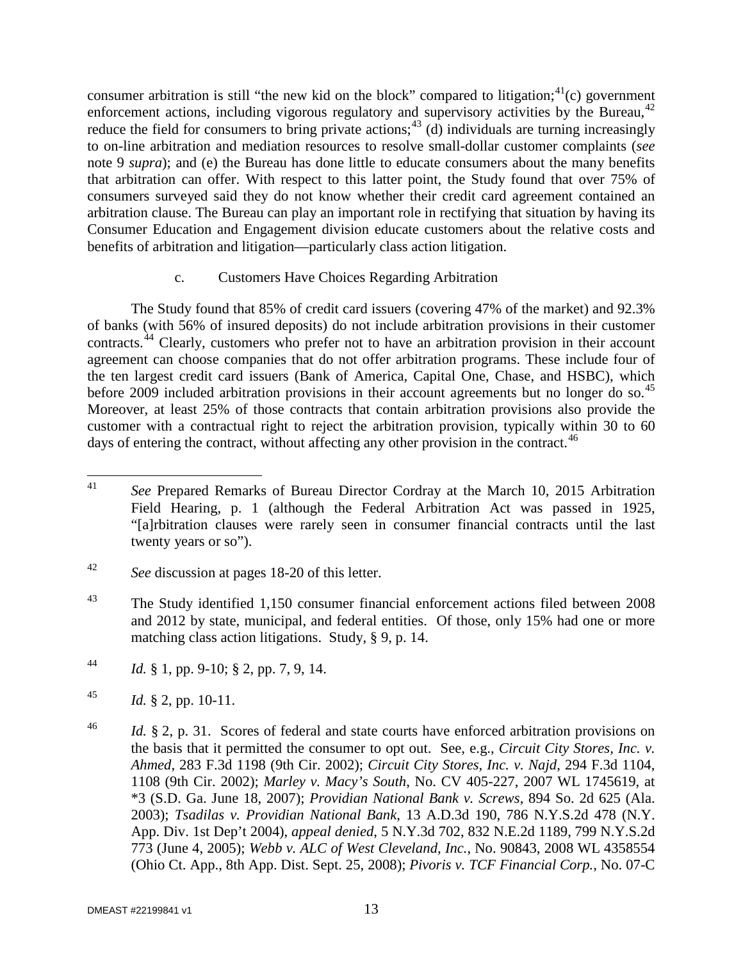consumer arbitration is still "the new kid on the block" compared to litigation;  $A^{(1)}(c)$  government enforcement actions, including vigorous regulatory and supervisory activities by the Bureau,<sup>[42](#page-13-1)</sup> reduce the field for consumers to bring private actions;<sup>[43](#page-13-2)</sup> (d) individuals are turning increasingly to on-line arbitration and mediation resources to resolve small-dollar customer complaints (*see* note 9 *supra*); and (e) the Bureau has done little to educate consumers about the many benefits that arbitration can offer. With respect to this latter point, the Study found that over 75% of consumers surveyed said they do not know whether their credit card agreement contained an arbitration clause. The Bureau can play an important role in rectifying that situation by having its Consumer Education and Engagement division educate customers about the relative costs and benefits of arbitration and litigation—particularly class action litigation.

# c. Customers Have Choices Regarding Arbitration

The Study found that 85% of credit card issuers (covering 47% of the market) and 92.3% of banks (with 56% of insured deposits) do not include arbitration provisions in their customer contracts.[44](#page-13-3) Clearly, customers who prefer not to have an arbitration provision in their account agreement can choose companies that do not offer arbitration programs. These include four of the ten largest credit card issuers (Bank of America, Capital One, Chase, and HSBC), which before 2009 included arbitration provisions in their account agreements but no longer do so.<sup>[45](#page-13-4)</sup> Moreover, at least 25% of those contracts that contain arbitration provisions also provide the customer with a contractual right to reject the arbitration provision, typically within 30 to 60 days of entering the contract, without affecting any other provision in the contract.  $46$ 

<span id="page-13-0"></span> <sup>41</sup> *See* Prepared Remarks of Bureau Director Cordray at the March 10, 2015 Arbitration Field Hearing, p. 1 (although the Federal Arbitration Act was passed in 1925, "[a]rbitration clauses were rarely seen in consumer financial contracts until the last twenty years or so").

<span id="page-13-1"></span><sup>42</sup> *See* discussion at pages 18-20 of this letter.

<span id="page-13-2"></span><sup>&</sup>lt;sup>43</sup> The Study identified 1,150 consumer financial enforcement actions filed between 2008 and 2012 by state, municipal, and federal entities. Of those, only 15% had one or more matching class action litigations. Study, § 9, p. 14.

<span id="page-13-3"></span><sup>44</sup> *Id.* § 1, pp. 9-10; § 2, pp. 7, 9, 14.

<span id="page-13-4"></span> $^{45}$  *Id.* § 2, pp. 10-11.

<span id="page-13-5"></span><sup>46</sup> *Id.* § 2, p. 31. Scores of federal and state courts have enforced arbitration provisions on the basis that it permitted the consumer to opt out. See, e.g., *Circuit City Stores, Inc. v. Ahmed*, 283 F.3d 1198 (9th Cir. 2002); *Circuit City Stores, Inc. v. Najd*, 294 F.3d 1104, 1108 (9th Cir. 2002); *Marley v. Macy's South*, No. CV 405-227, 2007 WL 1745619, at \*3 (S.D. Ga. June 18, 2007); *Providian National Bank v. Screws*, 894 So. 2d 625 (Ala. 2003); *Tsadilas v. Providian National Bank*, 13 A.D.3d 190, 786 N.Y.S.2d 478 (N.Y. App. Div. 1st Dep't 2004), *appeal denied*, 5 N.Y.3d 702, 832 N.E.2d 1189, 799 N.Y.S.2d 773 (June 4, 2005); *Webb v. ALC of West Cleveland, Inc.*, No. 90843, 2008 WL 4358554 (Ohio Ct. App., 8th App. Dist. Sept. 25, 2008); *Pivoris v. TCF Financial Corp.*, No. 07-C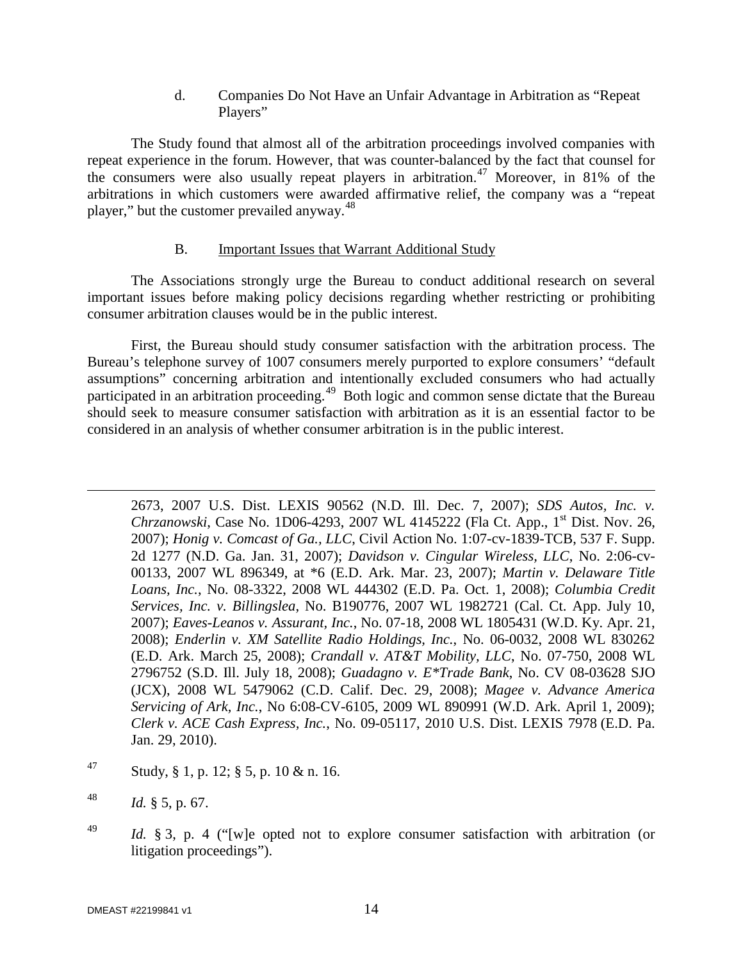#### d. Companies Do Not Have an Unfair Advantage in Arbitration as "Repeat Players"

The Study found that almost all of the arbitration proceedings involved companies with repeat experience in the forum. However, that was counter-balanced by the fact that counsel for the consumers were also usually repeat players in arbitration.<sup>[47](#page-14-0)</sup> Moreover, in 81% of the arbitrations in which customers were awarded affirmative relief, the company was a "repeat player," but the customer prevailed anyway.<sup>[48](#page-14-1)</sup>

# B. Important Issues that Warrant Additional Study

The Associations strongly urge the Bureau to conduct additional research on several important issues before making policy decisions regarding whether restricting or prohibiting consumer arbitration clauses would be in the public interest.

First, the Bureau should study consumer satisfaction with the arbitration process. The Bureau's telephone survey of 1007 consumers merely purported to explore consumers' "default assumptions" concerning arbitration and intentionally excluded consumers who had actually participated in an arbitration proceeding.<sup>[49](#page-14-2)</sup> Both logic and common sense dictate that the Bureau should seek to measure consumer satisfaction with arbitration as it is an essential factor to be considered in an analysis of whether consumer arbitration is in the public interest.

2673, 2007 U.S. Dist. LEXIS 90562 (N.D. Ill. Dec. 7, 2007); *SDS Autos, Inc. v. Chrzanowski*, Case No. 1D06-4293, 2007 WL 4145222 (Fla Ct. App., 1<sup>st</sup> Dist. Nov. 26, 2007); *Honig v. Comcast of Ga., LLC*, Civil Action No. 1:07-cv-1839-TCB, 537 F. Supp. 2d 1277 (N.D. Ga. Jan. 31, 2007); *Davidson v. Cingular Wireless, LLC*, No. 2:06-cv-00133, 2007 WL 896349, at \*6 (E.D. Ark. Mar. 23, 2007); *Martin v. Delaware Title Loans, Inc.*, No. 08-3322, 2008 WL 444302 (E.D. Pa. Oct. 1, 2008); *Columbia Credit Services, Inc. v. Billingslea*, No. B190776, 2007 WL 1982721 (Cal. Ct. App. July 10, 2007); *Eaves-Leanos v. Assurant, Inc.*, No. 07-18, 2008 WL 1805431 (W.D. Ky. Apr. 21, 2008); *Enderlin v. XM Satellite Radio Holdings, Inc.*, No. 06-0032, 2008 WL 830262 (E.D. Ark. March 25, 2008); *Crandall v. AT&T Mobility, LLC*, No. 07-750, 2008 WL 2796752 (S.D. Ill. July 18, 2008); *Guadagno v. E\*Trade Bank*, No. CV 08-03628 SJO (JCX), 2008 WL 5479062 (C.D. Calif. Dec. 29, 2008); *Magee v. Advance America Servicing of Ark, Inc.*, No 6:08-CV-6105, 2009 WL 890991 (W.D. Ark. April 1, 2009); *Clerk v. ACE Cash Express, Inc.*, No. 09-05117, 2010 U.S. Dist. LEXIS 7978 (E.D. Pa. Jan. 29, 2010).

- <span id="page-14-0"></span>47 Study, § 1, p. 12; § 5, p. 10 & n. 16.
- <span id="page-14-1"></span> $^{48}$  *Id.* § 5, p. 67.

 $\overline{a}$ 

<span id="page-14-2"></span><sup>49</sup> *Id.* § 3, p. 4 ("[w]e opted not to explore consumer satisfaction with arbitration (or litigation proceedings").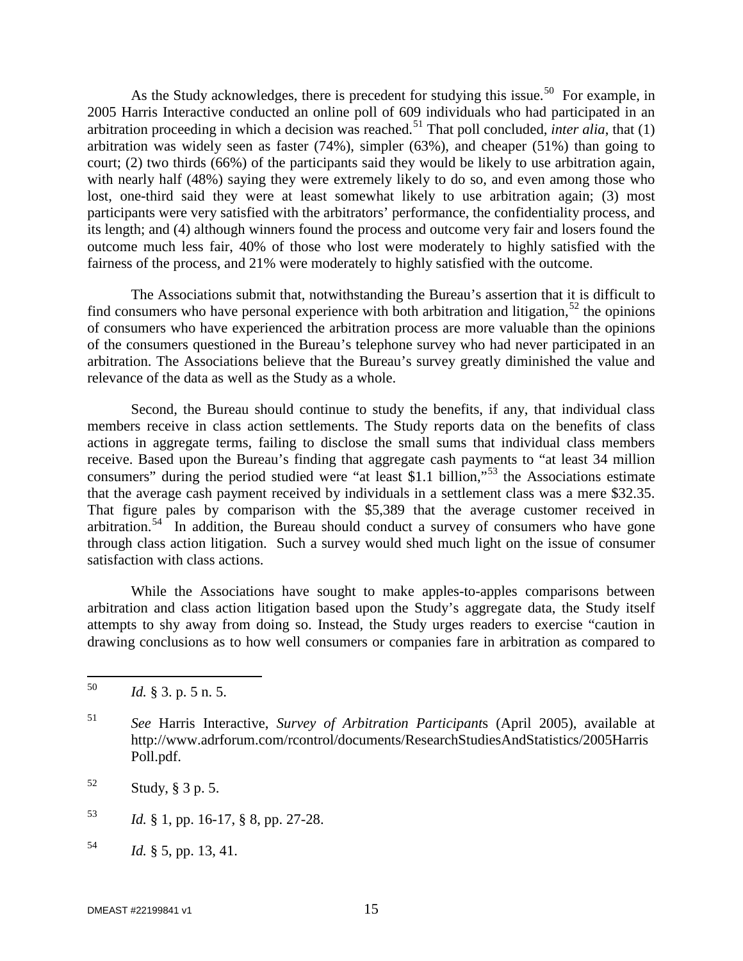As the Study acknowledges, there is precedent for studying this issue.<sup>[50](#page-15-0)</sup> For example, in 2005 Harris Interactive conducted an online poll of 609 individuals who had participated in an arbitration proceeding in which a decision was reached. [51](#page-15-1) That poll concluded, *inter alia*, that (1) arbitration was widely seen as faster (74%), simpler (63%), and cheaper (51%) than going to court; (2) two thirds (66%) of the participants said they would be likely to use arbitration again, with nearly half (48%) saying they were extremely likely to do so, and even among those who lost, one-third said they were at least somewhat likely to use arbitration again; (3) most participants were very satisfied with the arbitrators' performance, the confidentiality process, and its length; and (4) although winners found the process and outcome very fair and losers found the outcome much less fair, 40% of those who lost were moderately to highly satisfied with the fairness of the process, and 21% were moderately to highly satisfied with the outcome.

The Associations submit that, notwithstanding the Bureau's assertion that it is difficult to find consumers who have personal experience with both arbitration and litigation,  $52$  the opinions of consumers who have experienced the arbitration process are more valuable than the opinions of the consumers questioned in the Bureau's telephone survey who had never participated in an arbitration. The Associations believe that the Bureau's survey greatly diminished the value and relevance of the data as well as the Study as a whole.

Second, the Bureau should continue to study the benefits, if any, that individual class members receive in class action settlements. The Study reports data on the benefits of class actions in aggregate terms, failing to disclose the small sums that individual class members receive. Based upon the Bureau's finding that aggregate cash payments to "at least 34 million consumers" during the period studied were "at least \$1.1 billion,"<sup>[53](#page-15-3)</sup> the Associations estimate that the average cash payment received by individuals in a settlement class was a mere \$32.35. That figure pales by comparison with the \$5,389 that the average customer received in arbitration.[54](#page-15-4) In addition, the Bureau should conduct a survey of consumers who have gone through class action litigation. Such a survey would shed much light on the issue of consumer satisfaction with class actions.

While the Associations have sought to make apples-to-apples comparisons between arbitration and class action litigation based upon the Study's aggregate data, the Study itself attempts to shy away from doing so. Instead, the Study urges readers to exercise "caution in drawing conclusions as to how well consumers or companies fare in arbitration as compared to

- <span id="page-15-3"></span><sup>53</sup> *Id.* § 1, pp. 16-17, § 8, pp. 27-28.
- <span id="page-15-4"></span><sup>54</sup> *Id.* § 5, pp. 13, 41.

<span id="page-15-0"></span> <sup>50</sup> *Id.* § 3. p. 5 n. 5.

<span id="page-15-1"></span><sup>51</sup> *See* Harris Interactive, *Survey of Arbitration Participant*s (April 2005), available at http://www.adrforum.com/rcontrol/documents/ResearchStudiesAndStatistics/2005Harris Poll.pdf.

<span id="page-15-2"></span> $52$  Study, § 3 p. 5.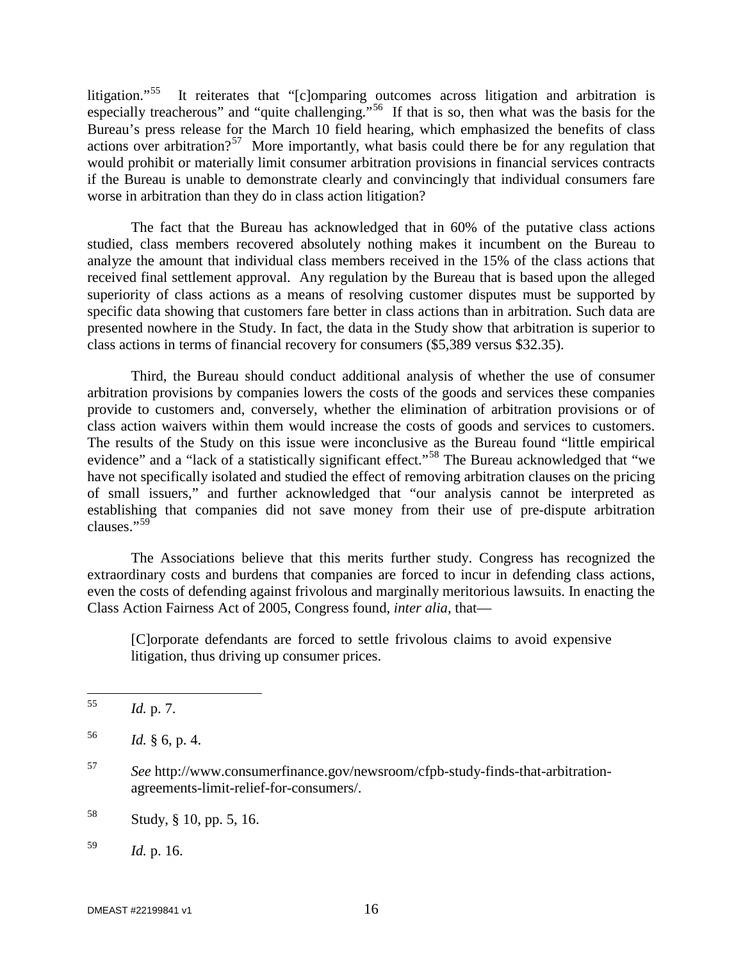litigation."<sup>[55](#page-16-0)</sup> It reiterates that "[c]omparing outcomes across litigation and arbitration is especially treacherous" and "quite challenging."<sup>[56](#page-16-1)</sup> If that is so, then what was the basis for the Bureau's press release for the March 10 field hearing, which emphasized the benefits of class actions over arbitration?<sup>[57](#page-16-2)</sup> More importantly, what basis could there be for any regulation that would prohibit or materially limit consumer arbitration provisions in financial services contracts if the Bureau is unable to demonstrate clearly and convincingly that individual consumers fare worse in arbitration than they do in class action litigation?

The fact that the Bureau has acknowledged that in 60% of the putative class actions studied, class members recovered absolutely nothing makes it incumbent on the Bureau to analyze the amount that individual class members received in the 15% of the class actions that received final settlement approval. Any regulation by the Bureau that is based upon the alleged superiority of class actions as a means of resolving customer disputes must be supported by specific data showing that customers fare better in class actions than in arbitration. Such data are presented nowhere in the Study. In fact, the data in the Study show that arbitration is superior to class actions in terms of financial recovery for consumers (\$5,389 versus \$32.35).

Third, the Bureau should conduct additional analysis of whether the use of consumer arbitration provisions by companies lowers the costs of the goods and services these companies provide to customers and, conversely, whether the elimination of arbitration provisions or of class action waivers within them would increase the costs of goods and services to customers. The results of the Study on this issue were inconclusive as the Bureau found "little empirical evidence" and a "lack of a statistically significant effect."<sup>[58](#page-16-3)</sup> The Bureau acknowledged that "we have not specifically isolated and studied the effect of removing arbitration clauses on the pricing of small issuers," and further acknowledged that "our analysis cannot be interpreted as establishing that companies did not save money from their use of pre-dispute arbitration clauses."<sup>59</sup>

The Associations believe that this merits further study. Congress has recognized the extraordinary costs and burdens that companies are forced to incur in defending class actions, even the costs of defending against frivolous and marginally meritorious lawsuits. In enacting the Class Action Fairness Act of 2005, Congress found, *inter alia*, that—

[C]orporate defendants are forced to settle frivolous claims to avoid expensive litigation, thus driving up consumer prices.

- <span id="page-16-2"></span><sup>57</sup> *See* http://www.consumerfinance.gov/newsroom/cfpb-study-finds-that-arbitrationagreements-limit-relief-for-consumers/.
- <span id="page-16-3"></span><sup>58</sup> Study, § 10, pp. 5, 16.

<span id="page-16-0"></span> <sup>55</sup> *Id.* p. 7.

<span id="page-16-1"></span> $1d. \S 6, p. 4.$ 

<span id="page-16-4"></span><sup>59</sup> *Id.* p. 16.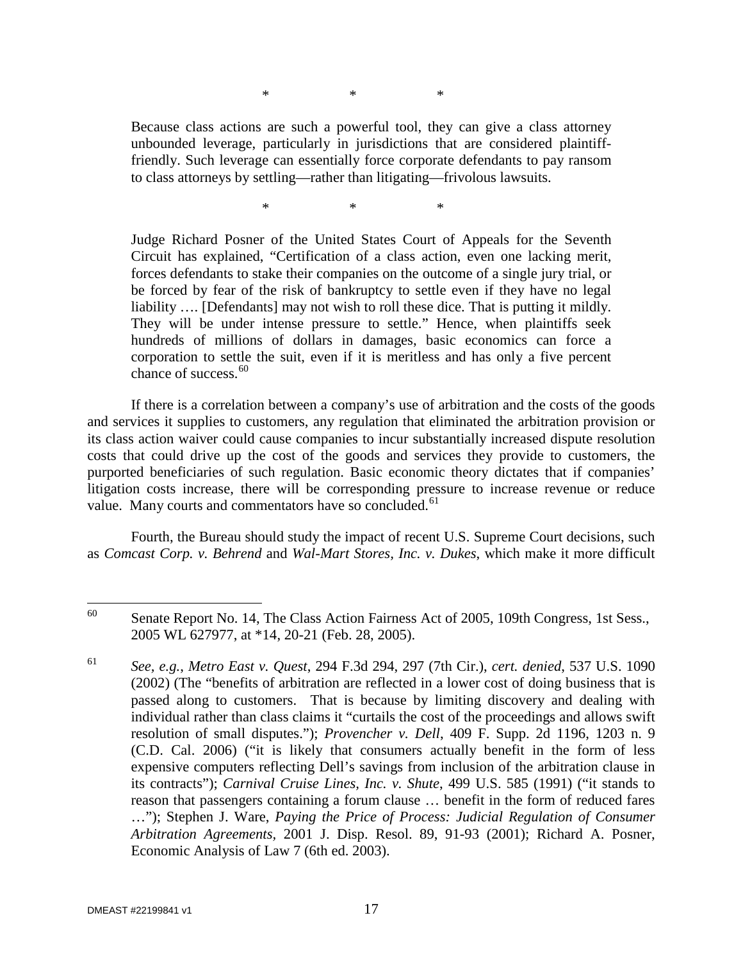\* \* \*

Because class actions are such a powerful tool, they can give a class attorney unbounded leverage, particularly in jurisdictions that are considered plaintifffriendly. Such leverage can essentially force corporate defendants to pay ransom to class attorneys by settling—rather than litigating—frivolous lawsuits.

\* \* \*

Judge Richard Posner of the United States Court of Appeals for the Seventh Circuit has explained, "Certification of a class action, even one lacking merit, forces defendants to stake their companies on the outcome of a single jury trial, or be forced by fear of the risk of bankruptcy to settle even if they have no legal liability .... [Defendants] may not wish to roll these dice. That is putting it mildly. They will be under intense pressure to settle." Hence, when plaintiffs seek hundreds of millions of dollars in damages, basic economics can force a corporation to settle the suit, even if it is meritless and has only a five percent chance of success.  $60$ 

 If there is a correlation between a company's use of arbitration and the costs of the goods and services it supplies to customers, any regulation that eliminated the arbitration provision or its class action waiver could cause companies to incur substantially increased dispute resolution costs that could drive up the cost of the goods and services they provide to customers, the purported beneficiaries of such regulation. Basic economic theory dictates that if companies' litigation costs increase, there will be corresponding pressure to increase revenue or reduce value. Many courts and commentators have so concluded.<sup>[61](#page-17-1)</sup>

Fourth, the Bureau should study the impact of recent U.S. Supreme Court decisions, such as *Comcast Corp. v. Behrend* and *Wal-Mart Stores, Inc. v. Dukes*, which make it more difficult

<span id="page-17-0"></span><sup>&</sup>lt;sup>60</sup> Senate Report No. 14, The Class Action Fairness Act of 2005, 109th Congress, 1st Sess., 2005 WL 627977, at \*14, 20-21 (Feb. 28, 2005).

<span id="page-17-1"></span><sup>61</sup> *See, e.g.*, *Metro East v. Quest*, 294 F.3d 294, 297 (7th Cir.), *cert. denied*, 537 U.S. 1090 (2002) (The "benefits of arbitration are reflected in a lower cost of doing business that is passed along to customers. That is because by limiting discovery and dealing with individual rather than class claims it "curtails the cost of the proceedings and allows swift resolution of small disputes."); *Provencher v. Dell*, 409 F. Supp. 2d 1196, 1203 n. 9 (C.D. Cal. 2006) ("it is likely that consumers actually benefit in the form of less expensive computers reflecting Dell's savings from inclusion of the arbitration clause in its contracts"); *Carnival Cruise Lines, Inc. v. Shute*, 499 U.S. 585 (1991) ("it stands to reason that passengers containing a forum clause … benefit in the form of reduced fares …"); Stephen J. Ware, *Paying the Price of Process: Judicial Regulation of Consumer Arbitration Agreements,* 2001 J. Disp. Resol. 89, 91-93 (2001); Richard A. Posner, Economic Analysis of Law 7 (6th ed. 2003).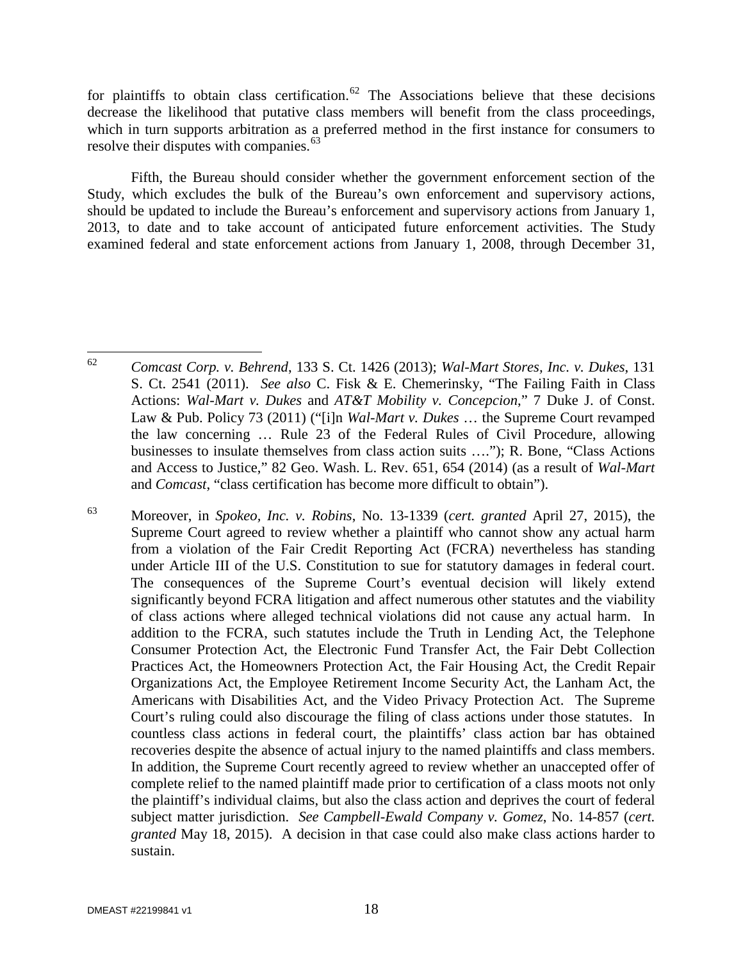for plaintiffs to obtain class certification.<sup>[62](#page-18-0)</sup> The Associations believe that these decisions decrease the likelihood that putative class members will benefit from the class proceedings, which in turn supports arbitration as a preferred method in the first instance for consumers to resolve their disputes with companies.<sup>[63](#page-18-1)</sup>

Fifth, the Bureau should consider whether the government enforcement section of the Study, which excludes the bulk of the Bureau's own enforcement and supervisory actions, should be updated to include the Bureau's enforcement and supervisory actions from January 1, 2013, to date and to take account of anticipated future enforcement activities. The Study examined federal and state enforcement actions from January 1, 2008, through December 31,

<span id="page-18-0"></span> <sup>62</sup> *Comcast Corp. v. Behrend*, 133 S. Ct. 1426 (2013); *Wal-Mart Stores, Inc. v. Dukes*, 131 S. Ct. 2541 (2011). *See also* C. Fisk & E. Chemerinsky, "The Failing Faith in Class Actions: *Wal-Mart v. Dukes* and *AT&T Mobility v. Concepcion*," 7 Duke J. of Const. Law & Pub. Policy 73 (2011) ("[i]n *Wal-Mart v. Dukes* … the Supreme Court revamped the law concerning … Rule 23 of the Federal Rules of Civil Procedure, allowing businesses to insulate themselves from class action suits …."); R. Bone, "Class Actions and Access to Justice," 82 Geo. Wash. L. Rev. 651, 654 (2014) (as a result of *Wal-Mart* and *Comcast*, "class certification has become more difficult to obtain").

<span id="page-18-1"></span><sup>63</sup> Moreover, in *Spokeo, Inc. v. Robins*, No. 13-1339 (*cert. granted* April 27, 2015), the Supreme Court agreed to review whether a plaintiff who cannot show any actual harm from a violation of the Fair Credit Reporting Act (FCRA) nevertheless has standing under Article III of the U.S. Constitution to sue for statutory damages in federal court. The consequences of the Supreme Court's eventual decision will likely extend significantly beyond FCRA litigation and affect numerous other statutes and the viability of class actions where alleged technical violations did not cause any actual harm. In addition to the FCRA, such statutes include the Truth in Lending Act, the Telephone Consumer Protection Act, the Electronic Fund Transfer Act, the Fair Debt Collection Practices Act, the Homeowners Protection Act, the Fair Housing Act, the Credit Repair Organizations Act, the Employee Retirement Income Security Act, the Lanham Act, the Americans with Disabilities Act, and the Video Privacy Protection Act. The Supreme Court's ruling could also discourage the filing of class actions under those statutes. In countless class actions in federal court, the plaintiffs' class action bar has obtained recoveries despite the absence of actual injury to the named plaintiffs and class members. In addition, the Supreme Court recently agreed to review whether an unaccepted offer of complete relief to the named plaintiff made prior to certification of a class moots not only the plaintiff's individual claims, but also the class action and deprives the court of federal subject matter jurisdiction. *See Campbell-Ewald Company v. Gomez*, No. 14-857 (*cert. granted* May 18, 2015). A decision in that case could also make class actions harder to sustain.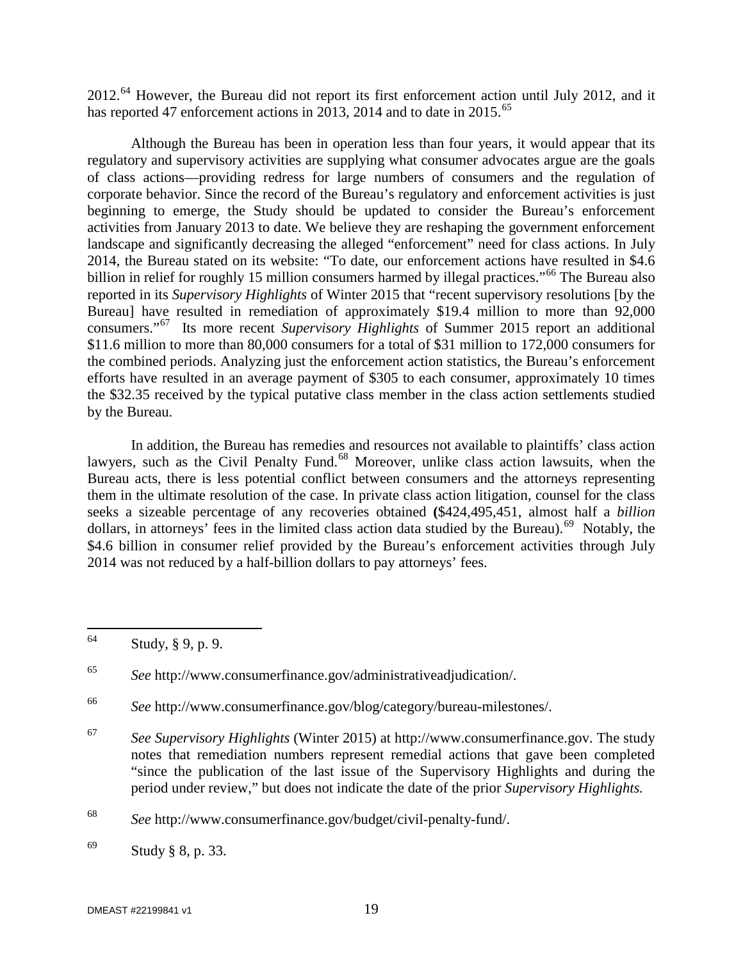2012.<sup>[64](#page-19-0)</sup> However, the Bureau did not report its first enforcement action until July 2012, and it has reported 47 enforcement actions in 2013, 2014 and to date in 2015.<sup>65</sup>

Although the Bureau has been in operation less than four years, it would appear that its regulatory and supervisory activities are supplying what consumer advocates argue are the goals of class actions—providing redress for large numbers of consumers and the regulation of corporate behavior. Since the record of the Bureau's regulatory and enforcement activities is just beginning to emerge, the Study should be updated to consider the Bureau's enforcement activities from January 2013 to date. We believe they are reshaping the government enforcement landscape and significantly decreasing the alleged "enforcement" need for class actions. In July 2014, the Bureau stated on its website: "To date, our enforcement actions have resulted in \$4.6 billion in relief for roughly 15 million consumers harmed by illegal practices."<sup>[66](#page-19-2)</sup> The Bureau also reported in its *Supervisory Highlights* of Winter 2015 that "recent supervisory resolutions [by the Bureau] have resulted in remediation of approximately \$19.4 million to more than 92,000 consumers."[67](#page-19-3) Its more recent *Supervisory Highlights* of Summer 2015 report an additional \$11.6 million to more than 80,000 consumers for a total of \$31 million to 172,000 consumers for the combined periods. Analyzing just the enforcement action statistics, the Bureau's enforcement efforts have resulted in an average payment of \$305 to each consumer, approximately 10 times the \$32.35 received by the typical putative class member in the class action settlements studied by the Bureau.

In addition, the Bureau has remedies and resources not available to plaintiffs' class action lawyers, such as the Civil Penalty Fund.<sup>[68](#page-19-4)</sup> Moreover, unlike class action lawsuits, when the Bureau acts, there is less potential conflict between consumers and the attorneys representing them in the ultimate resolution of the case. In private class action litigation, counsel for the class seeks a sizeable percentage of any recoveries obtained **(**\$424,495,451, almost half a *billion* dollars, in attorneys' fees in the limited class action data studied by the Bureau).<sup>[69](#page-19-5)</sup> Notably, the \$4.6 billion in consumer relief provided by the Bureau's enforcement activities through July 2014 was not reduced by a half-billion dollars to pay attorneys' fees.

<span id="page-19-0"></span> <sup>64</sup> Study, § 9, p. 9.

<span id="page-19-1"></span><sup>65</sup> *See* http://www.consumerfinance.gov/administrativeadjudication/.

<span id="page-19-2"></span><sup>66</sup> *See* http://www.consumerfinance.gov/blog/category/bureau-milestones/.

<span id="page-19-3"></span><sup>67</sup> *See Supervisory Highlights* (Winter 2015) at http://www.consumerfinance.gov. The study notes that remediation numbers represent remedial actions that gave been completed "since the publication of the last issue of the Supervisory Highlights and during the period under review," but does not indicate the date of the prior *Supervisory Highlights.*

<span id="page-19-4"></span><sup>68</sup> *See* http://www.consumerfinance.gov/budget/civil-penalty-fund/.

<span id="page-19-5"></span><sup>69</sup> Study § 8, p. 33.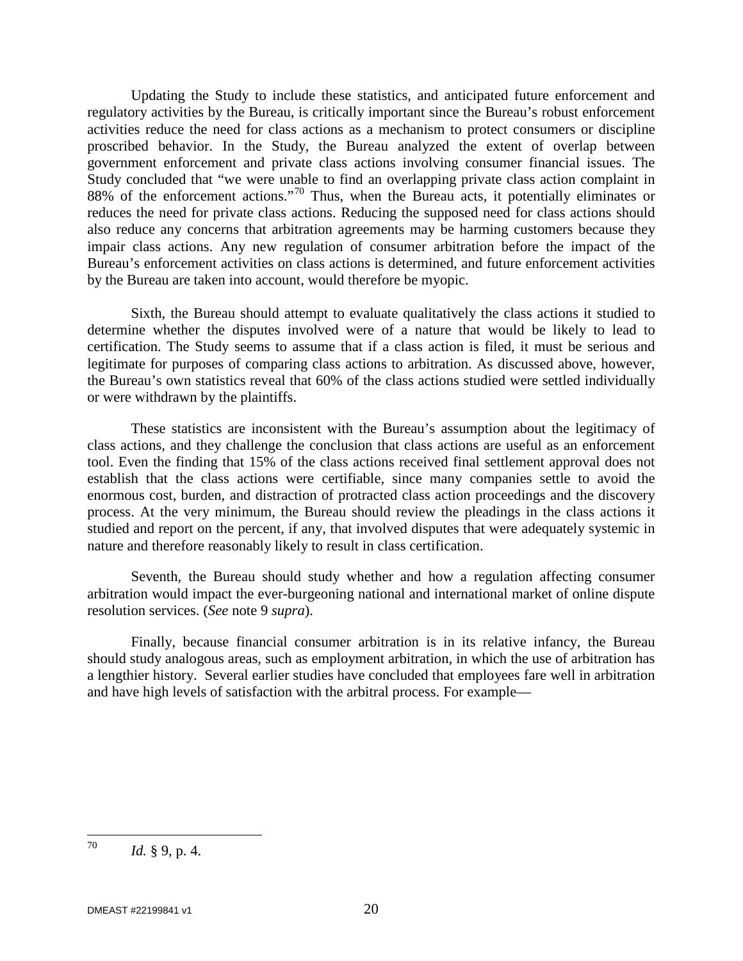Updating the Study to include these statistics, and anticipated future enforcement and regulatory activities by the Bureau, is critically important since the Bureau's robust enforcement activities reduce the need for class actions as a mechanism to protect consumers or discipline proscribed behavior. In the Study, the Bureau analyzed the extent of overlap between government enforcement and private class actions involving consumer financial issues. The Study concluded that "we were unable to find an overlapping private class action complaint in 88% of the enforcement actions."<sup>[70](#page-20-0)</sup> Thus, when the Bureau acts, it potentially eliminates or reduces the need for private class actions. Reducing the supposed need for class actions should also reduce any concerns that arbitration agreements may be harming customers because they impair class actions. Any new regulation of consumer arbitration before the impact of the Bureau's enforcement activities on class actions is determined, and future enforcement activities by the Bureau are taken into account, would therefore be myopic.

Sixth, the Bureau should attempt to evaluate qualitatively the class actions it studied to determine whether the disputes involved were of a nature that would be likely to lead to certification. The Study seems to assume that if a class action is filed, it must be serious and legitimate for purposes of comparing class actions to arbitration. As discussed above, however, the Bureau's own statistics reveal that 60% of the class actions studied were settled individually or were withdrawn by the plaintiffs.

These statistics are inconsistent with the Bureau's assumption about the legitimacy of class actions, and they challenge the conclusion that class actions are useful as an enforcement tool. Even the finding that 15% of the class actions received final settlement approval does not establish that the class actions were certifiable, since many companies settle to avoid the enormous cost, burden, and distraction of protracted class action proceedings and the discovery process. At the very minimum, the Bureau should review the pleadings in the class actions it studied and report on the percent, if any, that involved disputes that were adequately systemic in nature and therefore reasonably likely to result in class certification.

Seventh, the Bureau should study whether and how a regulation affecting consumer arbitration would impact the ever-burgeoning national and international market of online dispute resolution services. (*See* note 9 *supra*).

Finally, because financial consumer arbitration is in its relative infancy, the Bureau should study analogous areas, such as employment arbitration, in which the use of arbitration has a lengthier history. Several earlier studies have concluded that employees fare well in arbitration and have high levels of satisfaction with the arbitral process. For example—

<span id="page-20-0"></span><sup>70</sup>  $Id. \S$  9, p. 4.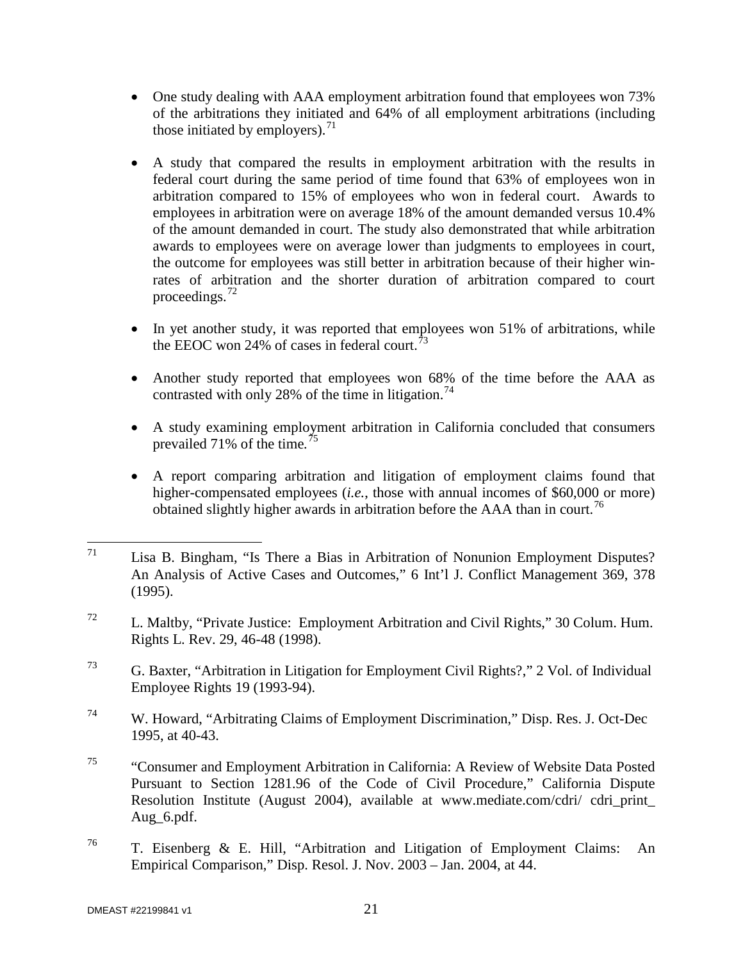- One study dealing with AAA employment arbitration found that employees won 73% of the arbitrations they initiated and 64% of all employment arbitrations (including those initiated by employers). $^{71}$  $^{71}$  $^{71}$
- A study that compared the results in employment arbitration with the results in federal court during the same period of time found that 63% of employees won in arbitration compared to 15% of employees who won in federal court. Awards to employees in arbitration were on average 18% of the amount demanded versus 10.4% of the amount demanded in court. The study also demonstrated that while arbitration awards to employees were on average lower than judgments to employees in court, the outcome for employees was still better in arbitration because of their higher winrates of arbitration and the shorter duration of arbitration compared to court proceedings. $72$
- In yet another study, it was reported that employees won 51% of arbitrations, while the EEOC won 24% of cases in federal court.<sup>[73](#page-21-2)</sup>
- Another study reported that employees won 68% of the time before the AAA as contrasted with only 28% of the time in litigation.<sup>[74](#page-21-3)</sup>
- A study examining employment arbitration in California concluded that consumers prevailed 71% of the time*.* [75](#page-21-4)
- A report comparing arbitration and litigation of employment claims found that higher-compensated employees *(i.e.*, those with annual incomes of \$60,000 or more) obtained slightly higher awards in arbitration before the AAA than in court.<sup>76</sup>

- <span id="page-21-1"></span><sup>72</sup> L. Maltby, "Private Justice: Employment Arbitration and Civil Rights," 30 Colum. Hum. Rights L. Rev. 29, 46-48 (1998).
- <span id="page-21-2"></span><sup>73</sup> G. Baxter, "Arbitration in Litigation for Employment Civil Rights?," 2 Vol. of Individual Employee Rights 19 (1993-94).
- <span id="page-21-3"></span><sup>74</sup> W. Howard, "Arbitrating Claims of Employment Discrimination," Disp. Res. J. Oct-Dec 1995, at 40-43.
- <span id="page-21-4"></span><sup>75</sup> "Consumer and Employment Arbitration in California: A Review of Website Data Posted Pursuant to Section 1281.96 of the Code of Civil Procedure," California Dispute Resolution Institute (August 2004), available at www.mediate.com/cdri/ cdri\_print\_ Aug\_6.pdf.
- <span id="page-21-5"></span><sup>76</sup> T. Eisenberg & E. Hill, "Arbitration and Litigation of Employment Claims: An Empirical Comparison," Disp. Resol. J. Nov. 2003 – Jan. 2004, at 44.

<span id="page-21-0"></span> $71$  Lisa B. Bingham, "Is There a Bias in Arbitration of Nonunion Employment Disputes? An Analysis of Active Cases and Outcomes," 6 Int'l J. Conflict Management 369, 378 (1995).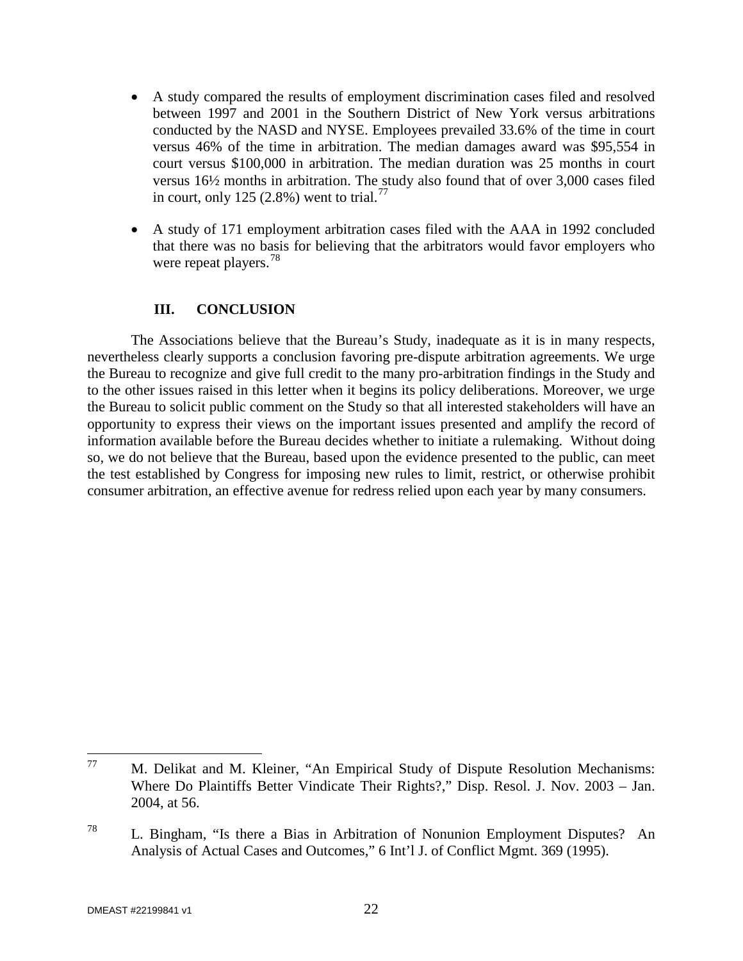- A study compared the results of employment discrimination cases filed and resolved between 1997 and 2001 in the Southern District of New York versus arbitrations conducted by the NASD and NYSE. Employees prevailed 33.6% of the time in court versus 46% of the time in arbitration. The median damages award was \$95,554 in court versus \$100,000 in arbitration. The median duration was 25 months in court versus 16½ months in arbitration. The study also found that of over 3,000 cases filed in court, only 125 (2.8%) went to trial.<sup>[77](#page-22-0)</sup>
- A study of 171 employment arbitration cases filed with the AAA in 1992 concluded that there was no basis for believing that the arbitrators would favor employers who were repeat players.<sup>[78](#page-22-1)</sup>

#### **III. CONCLUSION**

The Associations believe that the Bureau's Study, inadequate as it is in many respects, nevertheless clearly supports a conclusion favoring pre-dispute arbitration agreements. We urge the Bureau to recognize and give full credit to the many pro-arbitration findings in the Study and to the other issues raised in this letter when it begins its policy deliberations. Moreover, we urge the Bureau to solicit public comment on the Study so that all interested stakeholders will have an opportunity to express their views on the important issues presented and amplify the record of information available before the Bureau decides whether to initiate a rulemaking. Without doing so, we do not believe that the Bureau, based upon the evidence presented to the public, can meet the test established by Congress for imposing new rules to limit, restrict, or otherwise prohibit consumer arbitration, an effective avenue for redress relied upon each year by many consumers.

<span id="page-22-0"></span> <sup>77</sup> M. Delikat and M. Kleiner, "An Empirical Study of Dispute Resolution Mechanisms: Where Do Plaintiffs Better Vindicate Their Rights?," Disp. Resol. J. Nov. 2003 – Jan. 2004, at 56.

<span id="page-22-1"></span><sup>78</sup> L. Bingham, "Is there a Bias in Arbitration of Nonunion Employment Disputes? An Analysis of Actual Cases and Outcomes," 6 Int'l J. of Conflict Mgmt. 369 (1995).